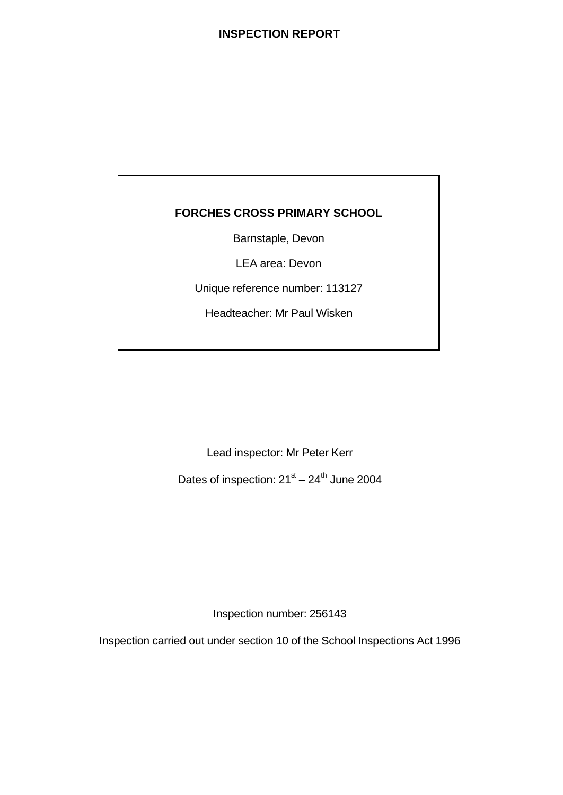## **INSPECTION REPORT**

## **FORCHES CROSS PRIMARY SCHOOL**

Barnstaple, Devon

LEA area: Devon

Unique reference number: 113127

Headteacher: Mr Paul Wisken

Lead inspector: Mr Peter Kerr

Dates of inspection:  $21<sup>st</sup> - 24<sup>th</sup>$  June 2004

Inspection number: 256143

Inspection carried out under section 10 of the School Inspections Act 1996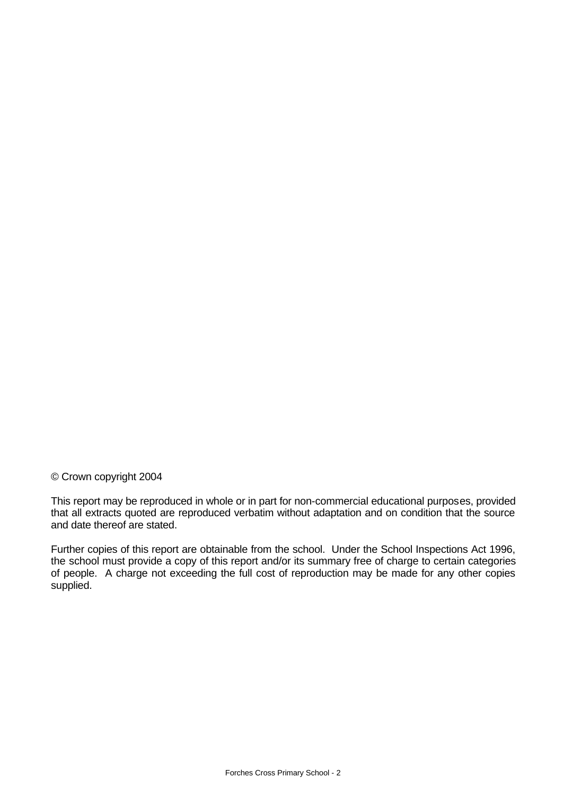## © Crown copyright 2004

This report may be reproduced in whole or in part for non-commercial educational purposes, provided that all extracts quoted are reproduced verbatim without adaptation and on condition that the source and date thereof are stated.

Further copies of this report are obtainable from the school. Under the School Inspections Act 1996, the school must provide a copy of this report and/or its summary free of charge to certain categories of people. A charge not exceeding the full cost of reproduction may be made for any other copies supplied.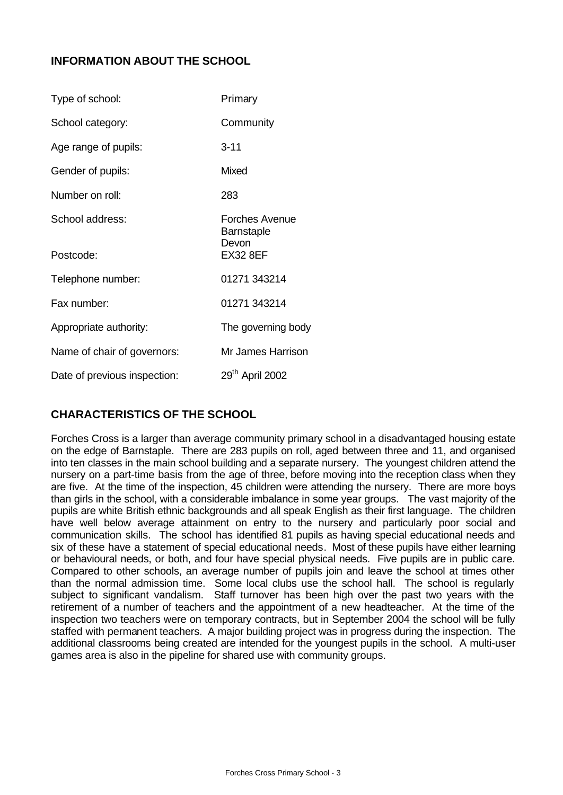## **INFORMATION ABOUT THE SCHOOL**

| Type of school:              | Primary                                                  |
|------------------------------|----------------------------------------------------------|
| School category:             | Community                                                |
| Age range of pupils:         | $3 - 11$                                                 |
| Gender of pupils:            | <b>Mixed</b>                                             |
| Number on roll:              | 283                                                      |
| School address:<br>Postcode: | Forches Avenue<br>Barnstaple<br>Devon<br><b>EX32 8EF</b> |
| Telephone number:            | 01271 343214                                             |
| Fax number:                  | 01271 343214                                             |
| Appropriate authority:       | The governing body                                       |
| Name of chair of governors:  | Mr James Harrison                                        |
| Date of previous inspection: | 29 <sup>th</sup> April 2002                              |

## **CHARACTERISTICS OF THE SCHOOL**

Forches Cross is a larger than average community primary school in a disadvantaged housing estate on the edge of Barnstaple. There are 283 pupils on roll, aged between three and 11, and organised into ten classes in the main school building and a separate nursery. The youngest children attend the nursery on a part-time basis from the age of three, before moving into the reception class when they are five. At the time of the inspection, 45 children were attending the nursery. There are more boys than girls in the school, with a considerable imbalance in some year groups. The vast majority of the pupils are white British ethnic backgrounds and all speak English as their first language. The children have well below average attainment on entry to the nursery and particularly poor social and communication skills. The school has identified 81 pupils as having special educational needs and six of these have a statement of special educational needs. Most of these pupils have either learning or behavioural needs, or both, and four have special physical needs. Five pupils are in public care. Compared to other schools, an average number of pupils join and leave the school at times other than the normal admission time. Some local clubs use the school hall. The school is regularly subject to significant vandalism. Staff turnover has been high over the past two years with the retirement of a number of teachers and the appointment of a new headteacher. At the time of the inspection two teachers were on temporary contracts, but in September 2004 the school will be fully staffed with permanent teachers. A major building project was in progress during the inspection. The additional classrooms being created are intended for the youngest pupils in the school. A multi-user games area is also in the pipeline for shared use with community groups.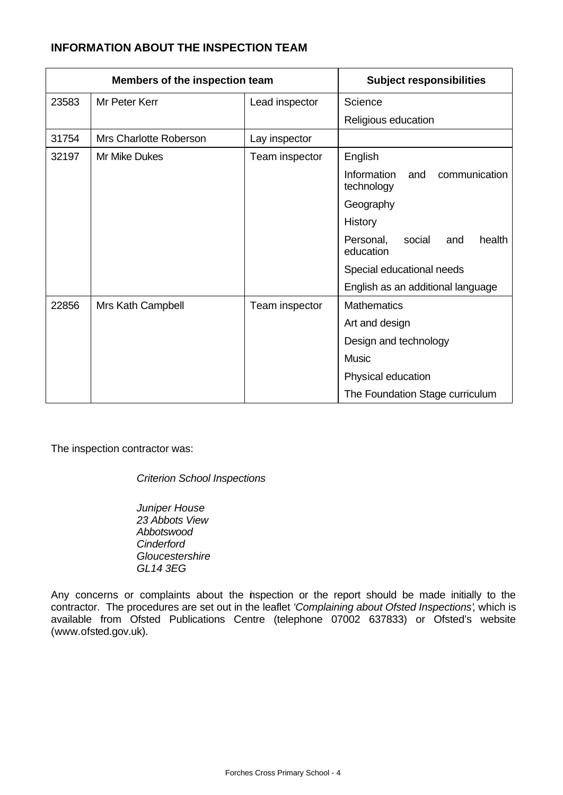## **INFORMATION ABOUT THE INSPECTION TEAM**

| Members of the inspection team |                        | <b>Subject responsibilities</b> |                                                          |
|--------------------------------|------------------------|---------------------------------|----------------------------------------------------------|
| 23583                          | Mr Peter Kerr          | Lead inspector                  | Science                                                  |
|                                |                        |                                 | Religious education                                      |
| 31754                          | Mrs Charlotte Roberson | Lay inspector                   |                                                          |
| 32197                          | Mr Mike Dukes          | Team inspector                  | English                                                  |
|                                |                        |                                 | <b>Information</b><br>and<br>communication<br>technology |
|                                |                        |                                 | Geography                                                |
|                                |                        |                                 | History                                                  |
|                                |                        |                                 | health<br>Personal,<br>social<br>and<br>education        |
|                                |                        |                                 | Special educational needs                                |
|                                |                        |                                 | English as an additional language                        |
| 22856                          | Mrs Kath Campbell      | Team inspector                  | <b>Mathematics</b>                                       |
|                                |                        |                                 | Art and design                                           |
|                                |                        |                                 | Design and technology                                    |
|                                |                        |                                 | <b>Music</b>                                             |
|                                |                        |                                 | Physical education                                       |
|                                |                        |                                 | The Foundation Stage curriculum                          |

The inspection contractor was:

*Criterion School Inspections*

*Juniper House 23 Abbots View Abbotswood Cinderford Gloucestershire GL14 3EG*

Any concerns or complaints about the inspection or the report should be made initially to the contractor. The procedures are set out in the leaflet *'Complaining about Ofsted Inspections'*, which is available from Ofsted Publications Centre (telephone 07002 637833) or Ofsted's website (www.ofsted.gov.uk).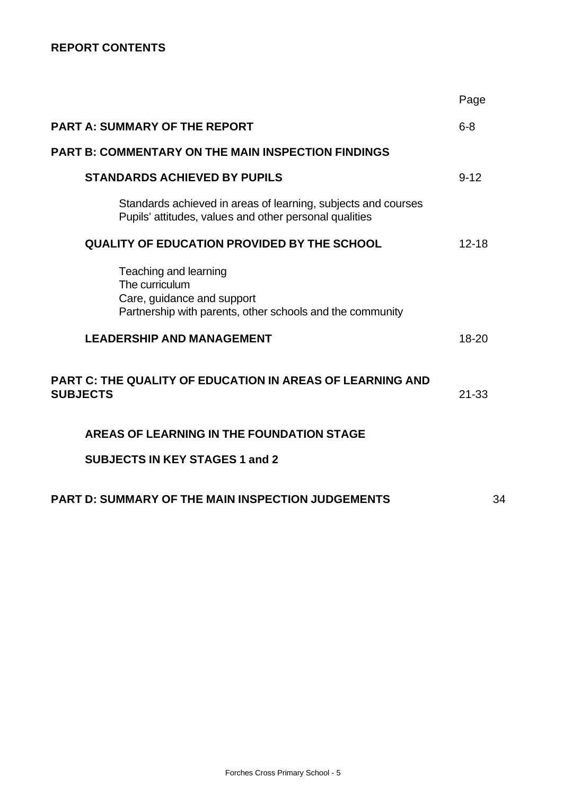## **REPORT CONTENTS**

|                                                                                                                                    | Page      |
|------------------------------------------------------------------------------------------------------------------------------------|-----------|
| <b>PART A: SUMMARY OF THE REPORT</b>                                                                                               | $6 - 8$   |
| <b>PART B: COMMENTARY ON THE MAIN INSPECTION FINDINGS</b>                                                                          |           |
| <b>STANDARDS ACHIEVED BY PUPILS</b>                                                                                                | $9 - 12$  |
| Standards achieved in areas of learning, subjects and courses<br>Pupils' attitudes, values and other personal qualities            |           |
| <b>QUALITY OF EDUCATION PROVIDED BY THE SCHOOL</b>                                                                                 | $12 - 18$ |
| Teaching and learning<br>The curriculum<br>Care, guidance and support<br>Partnership with parents, other schools and the community |           |
| <b>LEADERSHIP AND MANAGEMENT</b>                                                                                                   | 18-20     |
| <b>PART C: THE QUALITY OF EDUCATION IN AREAS OF LEARNING AND</b><br><b>SUBJECTS</b>                                                | $21 - 33$ |
| AREAS OF LEARNING IN THE FOUNDATION STAGE                                                                                          |           |
| <b>SUBJECTS IN KEY STAGES 1 and 2</b>                                                                                              |           |
| <b>PART D: SUMMARY OF THE MAIN INSPECTION JUDGEMENTS</b>                                                                           | 34        |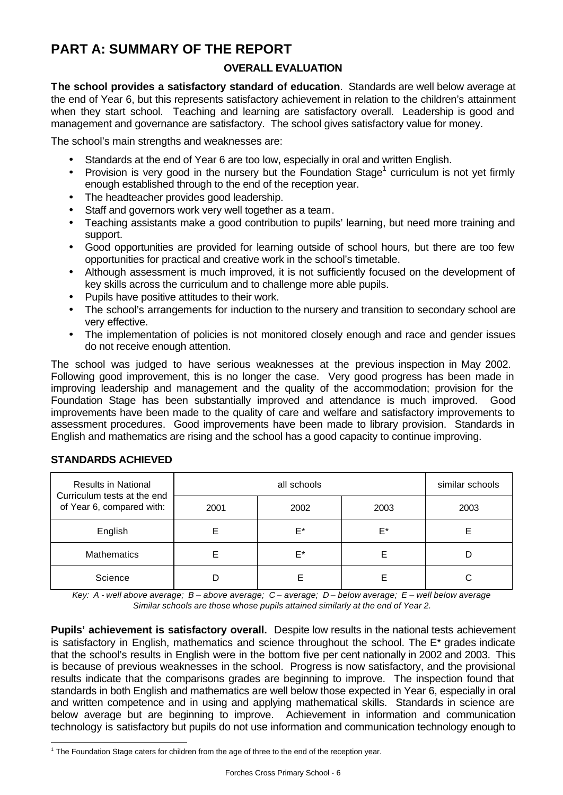# **PART A: SUMMARY OF THE REPORT**

## **OVERALL EVALUATION**

**The school provides a satisfactory standard of education**. Standards are well below average at the end of Year 6, but this represents satisfactory achievement in relation to the children's attainment when they start school. Teaching and learning are satisfactory overall. Leadership is good and management and governance are satisfactory. The school gives satisfactory value for money.

The school's main strengths and weaknesses are:

- Standards at the end of Year 6 are too low, especially in oral and written English.
- Provision is very good in the nursery but the Foundation Stage<sup>1</sup> curriculum is not yet firmly enough established through to the end of the reception year.
- The headteacher provides good leadership.
- Staff and governors work very well together as a team.
- Teaching assistants make a good contribution to pupils' learning, but need more training and support.
- Good opportunities are provided for learning outside of school hours, but there are too few opportunities for practical and creative work in the school's timetable.
- Although assessment is much improved, it is not sufficiently focused on the development of key skills across the curriculum and to challenge more able pupils.
- Pupils have positive attitudes to their work.
- The school's arrangements for induction to the nursery and transition to secondary school are very effective.
- The implementation of policies is not monitored closely enough and race and gender issues do not receive enough attention.

The school was judged to have serious weaknesses at the previous inspection in May 2002. Following good improvement, this is no longer the case. Very good progress has been made in improving leadership and management and the quality of the accommodation; provision for the Foundation Stage has been substantially improved and attendance is much improved. Good improvements have been made to the quality of care and welfare and satisfactory improvements to assessment procedures. Good improvements have been made to library provision. Standards in English and mathematics are rising and the school has a good capacity to continue improving.

| <b>Results in National</b>                               |      | similar schools |      |      |
|----------------------------------------------------------|------|-----------------|------|------|
| Curriculum tests at the end<br>of Year 6, compared with: | 2001 | 2002            | 2003 | 2003 |
| English                                                  |      | E*              | E*   |      |
| <b>Mathematics</b>                                       |      | E*              |      |      |
| Science                                                  |      |                 |      | C    |

## **STANDARDS ACHIEVED**

*Key: A - well above average; B – above average; C – average; D – below average; E – well below average Similar schools are those whose pupils attained similarly at the end of Year 2.*

**Pupils' achievement is satisfactory overall.** Despite low results in the national tests achievement is satisfactory in English, mathematics and science throughout the school. The  $E^*$  grades indicate that the school's results in English were in the bottom five per cent nationally in 2002 and 2003. This is because of previous weaknesses in the school. Progress is now satisfactory, and the provisional results indicate that the comparisons grades are beginning to improve. The inspection found that standards in both English and mathematics are well below those expected in Year 6, especially in oral and written competence and in using and applying mathematical skills. Standards in science are below average but are beginning to improve. Achievement in information and communication technology is satisfactory but pupils do not use information and communication technology enough to

l  $1$  The Foundation Stage caters for children from the age of three to the end of the reception year.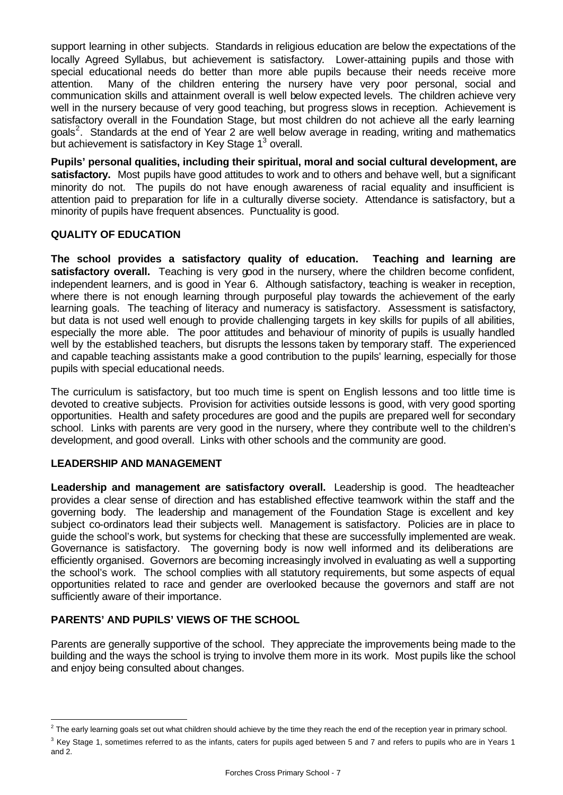support learning in other subjects. Standards in religious education are below the expectations of the locally Agreed Syllabus, but achievement is satisfactory. Lower-attaining pupils and those with special educational needs do better than more able pupils because their needs receive more attention. Many of the children entering the nursery have very poor personal, social and communication skills and attainment overall is well below expected levels. The children achieve very well in the nursery because of very good teaching, but progress slows in reception. Achievement is satisfactory overall in the Foundation Stage, but most children do not achieve all the early learning goals<sup>2</sup>. Standards at the end of Year 2 are well below average in reading, writing and mathematics but achievement is satisfactory in Key Stage 1<sup>3</sup> overall.

**Pupils' personal qualities, including their spiritual, moral and social cultural development, are satisfactory.** Most pupils have good attitudes to work and to others and behave well, but a significant minority do not. The pupils do not have enough awareness of racial equality and insufficient is attention paid to preparation for life in a culturally diverse society. Attendance is satisfactory, but a minority of pupils have frequent absences. Punctuality is good.

## **QUALITY OF EDUCATION**

**The school provides a satisfactory quality of education. Teaching and learning are** satisfactory overall. Teaching is very good in the nursery, where the children become confident, independent learners, and is good in Year 6. Although satisfactory, teaching is weaker in reception, where there is not enough learning through purposeful play towards the achievement of the early learning goals. The teaching of literacy and numeracy is satisfactory. Assessment is satisfactory, but data is not used well enough to provide challenging targets in key skills for pupils of all abilities, especially the more able. The poor attitudes and behaviour of minority of pupils is usually handled well by the established teachers, but disrupts the lessons taken by temporary staff. The experienced and capable teaching assistants make a good contribution to the pupils' learning, especially for those pupils with special educational needs.

The curriculum is satisfactory, but too much time is spent on English lessons and too little time is devoted to creative subjects. Provision for activities outside lessons is good, with very good sporting opportunities. Health and safety procedures are good and the pupils are prepared well for secondary school. Links with parents are very good in the nursery, where they contribute well to the children's development, and good overall. Links with other schools and the community are good.

## **LEADERSHIP AND MANAGEMENT**

**Leadership and management are satisfactory overall.** Leadership is good. The headteacher provides a clear sense of direction and has established effective teamwork within the staff and the governing body. The leadership and management of the Foundation Stage is excellent and key subject co-ordinators lead their subjects well. Management is satisfactory. Policies are in place to guide the school's work, but systems for checking that these are successfully implemented are weak. Governance is satisfactory. The governing body is now well informed and its deliberations are efficiently organised. Governors are becoming increasingly involved in evaluating as well a supporting the school's work. The school complies with all statutory requirements, but some aspects of equal opportunities related to race and gender are overlooked because the governors and staff are not sufficiently aware of their importance.

## **PARENTS' AND PUPILS' VIEWS OF THE SCHOOL**

Parents are generally supportive of the school. They appreciate the improvements being made to the building and the ways the school is trying to involve them more in its work. Most pupils like the school and enjoy being consulted about changes.

l  $2$  The early learning goals set out what children should achieve by the time they reach the end of the reception year in primary school.

 $3$  Key Stage 1, sometimes referred to as the infants, caters for pupils aged between 5 and 7 and refers to pupils who are in Years 1 and 2.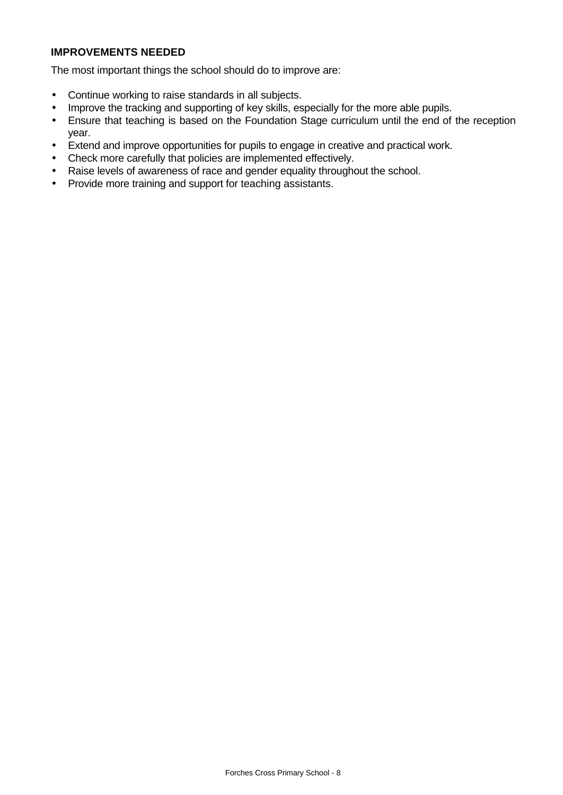## **IMPROVEMENTS NEEDED**

The most important things the school should do to improve are:

- Continue working to raise standards in all subjects.
- Improve the tracking and supporting of key skills, especially for the more able pupils.
- Ensure that teaching is based on the Foundation Stage curriculum until the end of the reception year.
- Extend and improve opportunities for pupils to engage in creative and practical work.
- Check more carefully that policies are implemented effectively.
- Raise levels of awareness of race and gender equality throughout the school.
- Provide more training and support for teaching assistants.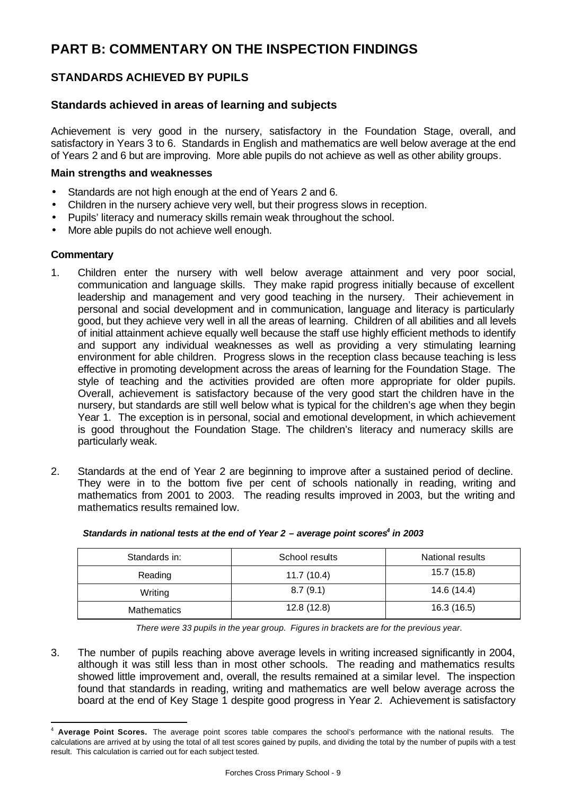# **PART B: COMMENTARY ON THE INSPECTION FINDINGS**

## **STANDARDS ACHIEVED BY PUPILS**

## **Standards achieved in areas of learning and subjects**

Achievement is very good in the nursery, satisfactory in the Foundation Stage, overall, and satisfactory in Years 3 to 6. Standards in English and mathematics are well below average at the end of Years 2 and 6 but are improving. More able pupils do not achieve as well as other ability groups.

#### **Main strengths and weaknesses**

- Standards are not high enough at the end of Years 2 and 6.
- Children in the nursery achieve very well, but their progress slows in reception.
- Pupils' literacy and numeracy skills remain weak throughout the school.
- More able pupils do not achieve well enough.

#### **Commentary**

l

- 1. Children enter the nursery with well below average attainment and very poor social, communication and language skills. They make rapid progress initially because of excellent leadership and management and very good teaching in the nursery. Their achievement in personal and social development and in communication, language and literacy is particularly good, but they achieve very well in all the areas of learning. Children of all abilities and all levels of initial attainment achieve equally well because the staff use highly efficient methods to identify and support any individual weaknesses as well as providing a very stimulating learning environment for able children. Progress slows in the reception class because teaching is less effective in promoting development across the areas of learning for the Foundation Stage. The style of teaching and the activities provided are often more appropriate for older pupils. Overall, achievement is satisfactory because of the very good start the children have in the nursery, but standards are still well below what is typical for the children's age when they begin Year 1. The exception is in personal, social and emotional development, in which achievement is good throughout the Foundation Stage. The children's literacy and numeracy skills are particularly weak.
- 2. Standards at the end of Year 2 are beginning to improve after a sustained period of decline. They were in to the bottom five per cent of schools nationally in reading, writing and mathematics from 2001 to 2003. The reading results improved in 2003, but the writing and mathematics results remained low.

| Standards in:      | School results | National results |
|--------------------|----------------|------------------|
| Reading            | 11.7(10.4)     | 15.7 (15.8)      |
| Writing            | 8.7(9.1)       | 14.6 (14.4)      |
| <b>Mathematics</b> | 12.8(12.8)     | 16.3(16.5)       |

#### Standards in national tests at the end of Year 2 - average point scores<sup>4</sup> in 2003

*There were 33 pupils in the year group. Figures in brackets are for the previous year.* 

3. The number of pupils reaching above average levels in writing increased significantly in 2004, although it was still less than in most other schools. The reading and mathematics results showed little improvement and, overall, the results remained at a similar level. The inspection found that standards in reading, writing and mathematics are well below average across the board at the end of Key Stage 1 despite good progress in Year 2. Achievement is satisfactory

<sup>4</sup> **Average Point Scores.** The average point scores table compares the school's performance with the national results. The calculations are arrived at by using the total of all test scores gained by pupils, and dividing the total by the number of pupils with a test result. This calculation is carried out for each subject tested.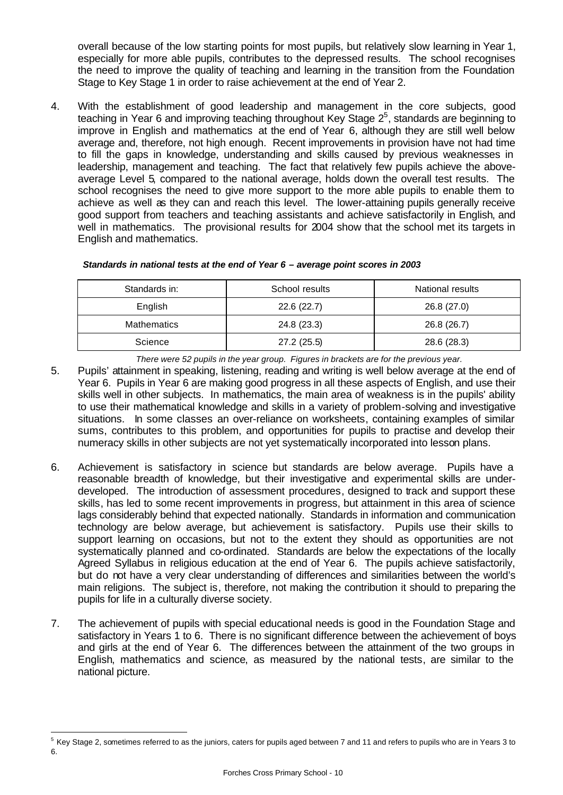overall because of the low starting points for most pupils, but relatively slow learning in Year 1, especially for more able pupils, contributes to the depressed results. The school recognises the need to improve the quality of teaching and learning in the transition from the Foundation Stage to Key Stage 1 in order to raise achievement at the end of Year 2.

4. With the establishment of good leadership and management in the core subjects, good teaching in Year 6 and improving teaching throughout Key Stage  $2^5$ , standards are beginning to improve in English and mathematics at the end of Year 6, although they are still well below average and, therefore, not high enough. Recent improvements in provision have not had time to fill the gaps in knowledge, understanding and skills caused by previous weaknesses in leadership, management and teaching. The fact that relatively few pupils achieve the aboveaverage Level 5, compared to the national average, holds down the overall test results. The school recognises the need to give more support to the more able pupils to enable them to achieve as well as they can and reach this level. The lower-attaining pupils generally receive good support from teachers and teaching assistants and achieve satisfactorily in English, and well in mathematics. The provisional results for 2004 show that the school met its targets in English and mathematics.

| Standards in: | School results | National results |
|---------------|----------------|------------------|
| English       | 22.6(22.7)     | 26.8 (27.0)      |
| Mathematics   | 24.8 (23.3)    | 26.8 (26.7)      |
| Science       | 27.2(25.5)     | 28.6 (28.3)      |

#### *Standards in national tests at the end of Year 6 – average point scores in 2003*

*There were 52 pupils in the year group. Figures in brackets are for the previous year.*

- 5. Pupils' attainment in speaking, listening, reading and writing is well below average at the end of Year 6. Pupils in Year 6 are making good progress in all these aspects of English, and use their skills well in other subjects. In mathematics, the main area of weakness is in the pupils' ability to use their mathematical knowledge and skills in a variety of problem-solving and investigative situations. In some classes an over-reliance on worksheets, containing examples of similar sums, contributes to this problem, and opportunities for pupils to practise and develop their numeracy skills in other subjects are not yet systematically incorporated into lesson plans.
- 6. Achievement is satisfactory in science but standards are below average. Pupils have a reasonable breadth of knowledge, but their investigative and experimental skills are underdeveloped. The introduction of assessment procedures, designed to track and support these skills, has led to some recent improvements in progress, but attainment in this area of science lags considerably behind that expected nationally. Standards in information and communication technology are below average, but achievement is satisfactory. Pupils use their skills to support learning on occasions, but not to the extent they should as opportunities are not systematically planned and co-ordinated. Standards are below the expectations of the locally Agreed Syllabus in religious education at the end of Year 6. The pupils achieve satisfactorily, but do not have a very clear understanding of differences and similarities between the world's main religions. The subject is, therefore, not making the contribution it should to preparing the pupils for life in a culturally diverse society.
- 7. The achievement of pupils with special educational needs is good in the Foundation Stage and satisfactory in Years 1 to 6. There is no significant difference between the achievement of boys and girls at the end of Year 6. The differences between the attainment of the two groups in English, mathematics and science, as measured by the national tests, are similar to the national picture.

l <sup>5</sup> Key Stage 2, sometimes referred to as the juniors, caters for pupils aged between 7 and 11 and refers to pupils who are in Years 3 to 6.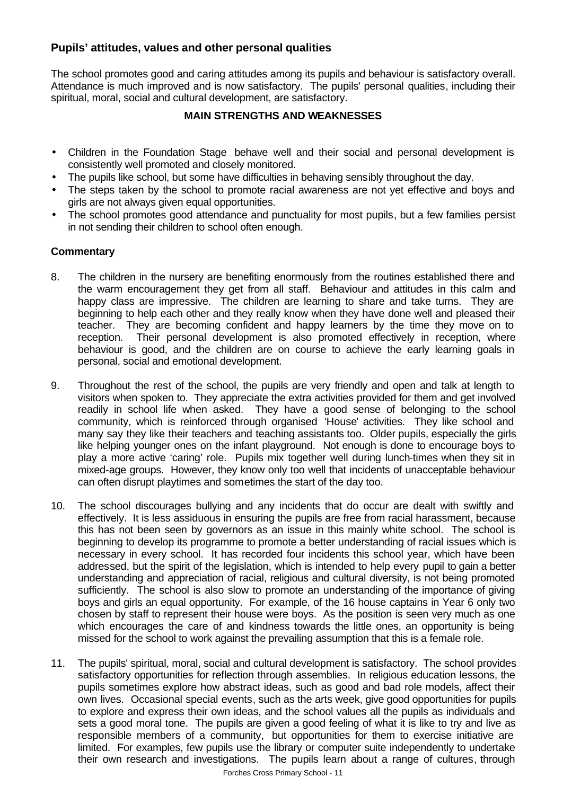## **Pupils' attitudes, values and other personal qualities**

The school promotes good and caring attitudes among its pupils and behaviour is satisfactory overall. Attendance is much improved and is now satisfactory. The pupils' personal qualities, including their spiritual, moral, social and cultural development, are satisfactory.

## **MAIN STRENGTHS AND WEAKNESSES**

- Children in the Foundation Stage behave well and their social and personal development is consistently well promoted and closely monitored.
- The pupils like school, but some have difficulties in behaving sensibly throughout the day.
- The steps taken by the school to promote racial awareness are not yet effective and boys and girls are not always given equal opportunities.
- The school promotes good attendance and punctuality for most pupils, but a few families persist in not sending their children to school often enough.

## **Commentary**

- 8. The children in the nursery are benefiting enormously from the routines established there and the warm encouragement they get from all staff. Behaviour and attitudes in this calm and happy class are impressive. The children are learning to share and take turns. They are beginning to help each other and they really know when they have done well and pleased their teacher. They are becoming confident and happy learners by the time they move on to reception. Their personal development is also promoted effectively in reception, where behaviour is good, and the children are on course to achieve the early learning goals in personal, social and emotional development.
- 9. Throughout the rest of the school, the pupils are very friendly and open and talk at length to visitors when spoken to. They appreciate the extra activities provided for them and get involved readily in school life when asked. They have a good sense of belonging to the school community, which is reinforced through organised 'House' activities. They like school and many say they like their teachers and teaching assistants too. Older pupils, especially the girls like helping younger ones on the infant playground. Not enough is done to encourage boys to play a more active 'caring' role. Pupils mix together well during lunch-times when they sit in mixed-age groups. However, they know only too well that incidents of unacceptable behaviour can often disrupt playtimes and sometimes the start of the day too.
- 10. The school discourages bullying and any incidents that do occur are dealt with swiftly and effectively. It is less assiduous in ensuring the pupils are free from racial harassment, because this has not been seen by governors as an issue in this mainly white school. The school is beginning to develop its programme to promote a better understanding of racial issues which is necessary in every school. It has recorded four incidents this school year, which have been addressed, but the spirit of the legislation, which is intended to help every pupil to gain a better understanding and appreciation of racial, religious and cultural diversity, is not being promoted sufficiently. The school is also slow to promote an understanding of the importance of giving boys and girls an equal opportunity. For example, of the 16 house captains in Year 6 only two chosen by staff to represent their house were boys. As the position is seen very much as one which encourages the care of and kindness towards the little ones, an opportunity is being missed for the school to work against the prevailing assumption that this is a female role.
- 11. The pupils' spiritual, moral, social and cultural development is satisfactory. The school provides satisfactory opportunities for reflection through assemblies. In religious education lessons, the pupils sometimes explore how abstract ideas, such as good and bad role models, affect their own lives. Occasional special events, such as the arts week, give good opportunities for pupils to explore and express their own ideas, and the school values all the pupils as individuals and sets a good moral tone. The pupils are given a good feeling of what it is like to try and live as responsible members of a community, but opportunities for them to exercise initiative are limited. For examples, few pupils use the library or computer suite independently to undertake their own research and investigations. The pupils learn about a range of cultures, through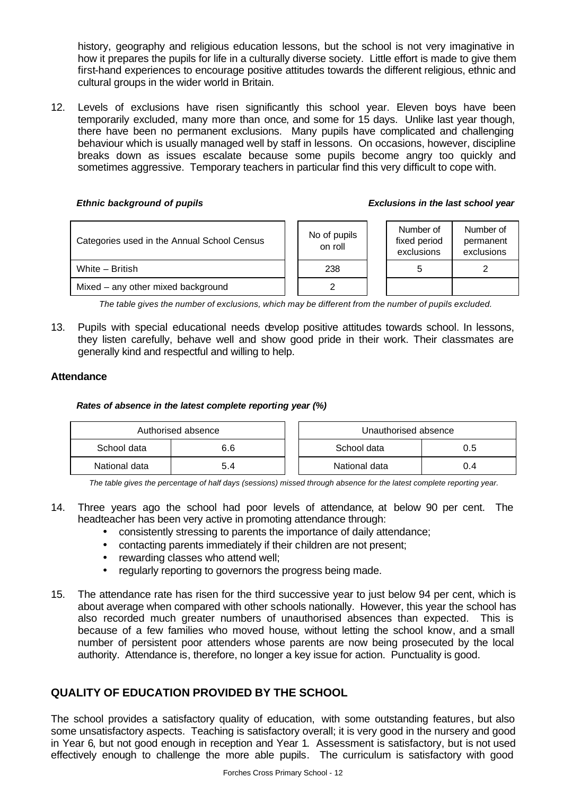history, geography and religious education lessons, but the school is not very imaginative in how it prepares the pupils for life in a culturally diverse society. Little effort is made to give them first-hand experiences to encourage positive attitudes towards the different religious, ethnic and cultural groups in the wider world in Britain.

12. Levels of exclusions have risen significantly this school year. Eleven boys have been temporarily excluded, many more than once, and some for 15 days. Unlike last year though, there have been no permanent exclusions. Many pupils have complicated and challenging behaviour which is usually managed well by staff in lessons. On occasions, however, discipline breaks down as issues escalate because some pupils become angry too quickly and sometimes aggressive. Temporary teachers in particular find this very difficult to cope with.

#### *Ethnic background of pupils Exclusions in the last school year*

| Categories used in the Annual School Census | No of pupils<br>on roll | Number of<br>fixed period<br>exclusions | Number of<br>permanent<br>exclusions |
|---------------------------------------------|-------------------------|-----------------------------------------|--------------------------------------|
| White - British                             | 238                     | 5                                       |                                      |
| Mixed – any other mixed background          |                         |                                         |                                      |

*The table gives the number of exclusions, which may be different from the number of pupils excluded.*

13. Pupils with special educational needs develop positive attitudes towards school. In lessons, they listen carefully, behave well and show good pride in their work. Their classmates are generally kind and respectful and willing to help.

## **Attendance**

## *Rates of absence in the latest complete reporting year (%)*

| Authorised absence |     |  | Unauthorised absence |     |
|--------------------|-----|--|----------------------|-----|
| School data<br>6.6 |     |  | School data          | 0.5 |
| National data      | 5.4 |  | National data        | 0.4 |

*The table gives the percentage of half days (sessions) missed through absence for the latest complete reporting year.*

- 14. Three years ago the school had poor levels of attendance, at below 90 per cent. The headteacher has been very active in promoting attendance through:
	- consistently stressing to parents the importance of daily attendance;
	- contacting parents immediately if their children are not present;
	- rewarding classes who attend well;
	- regularly reporting to governors the progress being made.
- 15. The attendance rate has risen for the third successive year to just below 94 per cent, which is about average when compared with other schools nationally. However, this year the school has also recorded much greater numbers of unauthorised absences than expected. This is because of a few families who moved house, without letting the school know, and a small number of persistent poor attenders whose parents are now being prosecuted by the local authority. Attendance is, therefore, no longer a key issue for action. Punctuality is good.

## **QUALITY OF EDUCATION PROVIDED BY THE SCHOOL**

The school provides a satisfactory quality of education, with some outstanding features, but also some unsatisfactory aspects. Teaching is satisfactory overall; it is very good in the nursery and good in Year 6, but not good enough in reception and Year 1. Assessment is satisfactory, but is not used effectively enough to challenge the more able pupils. The curriculum is satisfactory with good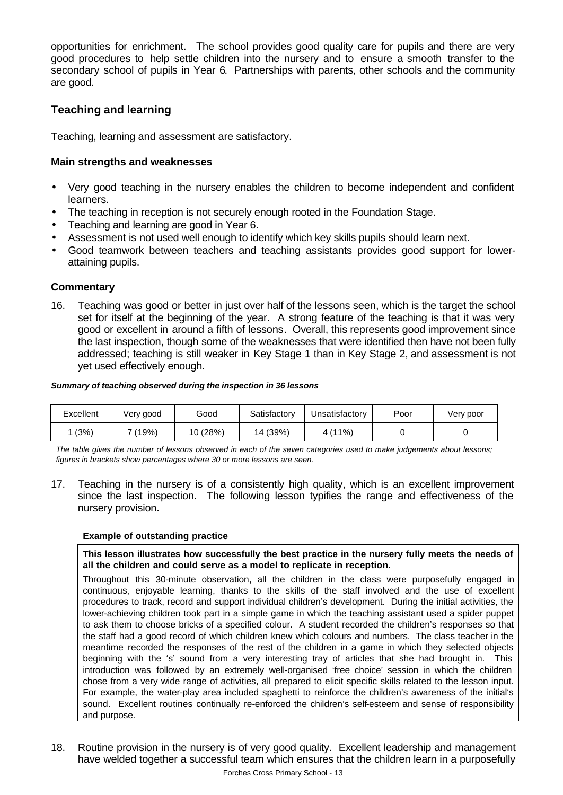opportunities for enrichment. The school provides good quality care for pupils and there are very good procedures to help settle children into the nursery and to ensure a smooth transfer to the secondary school of pupils in Year 6. Partnerships with parents, other schools and the community are good.

## **Teaching and learning**

Teaching, learning and assessment are satisfactory.

## **Main strengths and weaknesses**

- Very good teaching in the nursery enables the children to become independent and confident learners.
- The teaching in reception is not securely enough rooted in the Foundation Stage.
- Teaching and learning are good in Year 6.
- Assessment is not used well enough to identify which key skills pupils should learn next.
- Good teamwork between teachers and teaching assistants provides good support for lowerattaining pupils.

## **Commentary**

16. Teaching was good or better in just over half of the lessons seen, which is the target the school set for itself at the beginning of the year. A strong feature of the teaching is that it was very good or excellent in around a fifth of lessons. Overall, this represents good improvement since the last inspection, though some of the weaknesses that were identified then have not been fully addressed; teaching is still weaker in Key Stage 1 than in Key Stage 2, and assessment is not yet used effectively enough.

#### *Summary of teaching observed during the inspection in 36 lessons*

| Excellent | Very good | Good     | Satisfactory | Unsatisfactory | Poor | Very poor |
|-----------|-----------|----------|--------------|----------------|------|-----------|
| (3%)      | 7 (19%)   | 10 (28%) | 14 (39%)     | 4(11%)         |      |           |

*The table gives the number of lessons observed in each of the seven categories used to make judgements about lessons; figures in brackets show percentages where 30 or more lessons are seen.*

17. Teaching in the nursery is of a consistently high quality, which is an excellent improvement since the last inspection. The following lesson typifies the range and effectiveness of the nursery provision.

#### **Example of outstanding practice**

**This lesson illustrates how successfully the best practice in the nursery fully meets the needs of all the children and could serve as a model to replicate in reception.**

Throughout this 30-minute observation, all the children in the class were purposefully engaged in continuous, enjoyable learning, thanks to the skills of the staff involved and the use of excellent procedures to track, record and support individual children's development. During the initial activities, the lower-achieving children took part in a simple game in which the teaching assistant used a spider puppet to ask them to choose bricks of a specified colour. A student recorded the children's responses so that the staff had a good record of which children knew which colours and numbers. The class teacher in the meantime recorded the responses of the rest of the children in a game in which they selected objects beginning with the 's' sound from a very interesting tray of articles that she had brought in. This introduction was followed by an extremely well-organised 'free choice' session in which the children chose from a very wide range of activities, all prepared to elicit specific skills related to the lesson input. For example, the water-play area included spaghetti to reinforce the children's awareness of the initial's sound. Excellent routines continually re-enforced the children's self-esteem and sense of responsibility and purpose.

18. Routine provision in the nursery is of very good quality. Excellent leadership and management have welded together a successful team which ensures that the children learn in a purposefully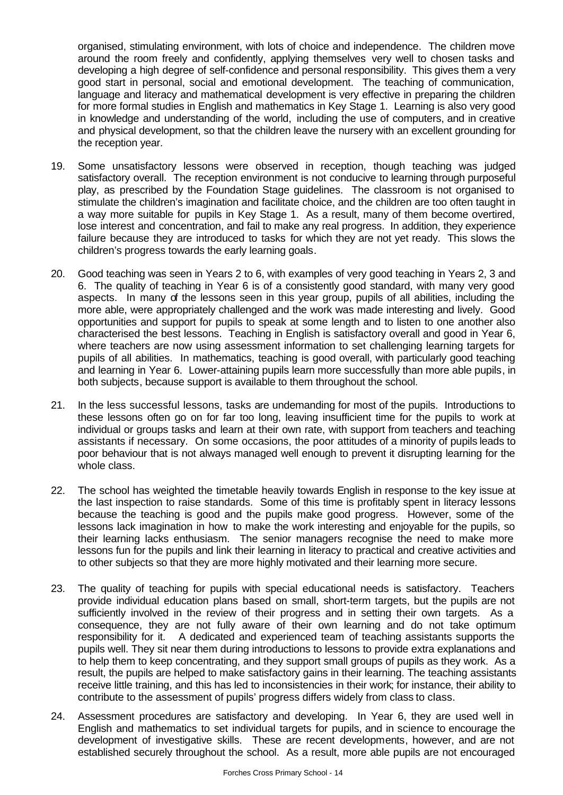organised, stimulating environment, with lots of choice and independence. The children move around the room freely and confidently, applying themselves very well to chosen tasks and developing a high degree of self-confidence and personal responsibility. This gives them a very good start in personal, social and emotional development. The teaching of communication, language and literacy and mathematical development is very effective in preparing the children for more formal studies in English and mathematics in Key Stage 1. Learning is also very good in knowledge and understanding of the world, including the use of computers, and in creative and physical development, so that the children leave the nursery with an excellent grounding for the reception year.

- 19. Some unsatisfactory lessons were observed in reception, though teaching was judged satisfactory overall. The reception environment is not conducive to learning through purposeful play, as prescribed by the Foundation Stage guidelines. The classroom is not organised to stimulate the children's imagination and facilitate choice, and the children are too often taught in a way more suitable for pupils in Key Stage 1. As a result, many of them become overtired, lose interest and concentration, and fail to make any real progress. In addition, they experience failure because they are introduced to tasks for which they are not yet ready. This slows the children's progress towards the early learning goals.
- 20. Good teaching was seen in Years 2 to 6, with examples of very good teaching in Years 2, 3 and 6. The quality of teaching in Year 6 is of a consistently good standard, with many very good aspects. In many of the lessons seen in this year group, pupils of all abilities, including the more able, were appropriately challenged and the work was made interesting and lively. Good opportunities and support for pupils to speak at some length and to listen to one another also characterised the best lessons. Teaching in English is satisfactory overall and good in Year 6, where teachers are now using assessment information to set challenging learning targets for pupils of all abilities. In mathematics, teaching is good overall, with particularly good teaching and learning in Year 6. Lower-attaining pupils learn more successfully than more able pupils, in both subjects, because support is available to them throughout the school.
- 21. In the less successful lessons, tasks are undemanding for most of the pupils. Introductions to these lessons often go on for far too long, leaving insufficient time for the pupils to work at individual or groups tasks and learn at their own rate, with support from teachers and teaching assistants if necessary. On some occasions, the poor attitudes of a minority of pupils leads to poor behaviour that is not always managed well enough to prevent it disrupting learning for the whole class.
- 22. The school has weighted the timetable heavily towards English in response to the key issue at the last inspection to raise standards. Some of this time is profitably spent in literacy lessons because the teaching is good and the pupils make good progress. However, some of the lessons lack imagination in how to make the work interesting and enjoyable for the pupils, so their learning lacks enthusiasm. The senior managers recognise the need to make more lessons fun for the pupils and link their learning in literacy to practical and creative activities and to other subjects so that they are more highly motivated and their learning more secure.
- 23. The quality of teaching for pupils with special educational needs is satisfactory. Teachers provide individual education plans based on small, short-term targets, but the pupils are not sufficiently involved in the review of their progress and in setting their own targets. As a consequence, they are not fully aware of their own learning and do not take optimum responsibility for it. A dedicated and experienced team of teaching assistants supports the pupils well. They sit near them during introductions to lessons to provide extra explanations and to help them to keep concentrating, and they support small groups of pupils as they work. As a result, the pupils are helped to make satisfactory gains in their learning. The teaching assistants receive little training, and this has led to inconsistencies in their work; for instance, their ability to contribute to the assessment of pupils' progress differs widely from class to class.
- 24. Assessment procedures are satisfactory and developing. In Year 6, they are used well in English and mathematics to set individual targets for pupils, and in science to encourage the development of investigative skills. These are recent developments, however, and are not established securely throughout the school. As a result, more able pupils are not encouraged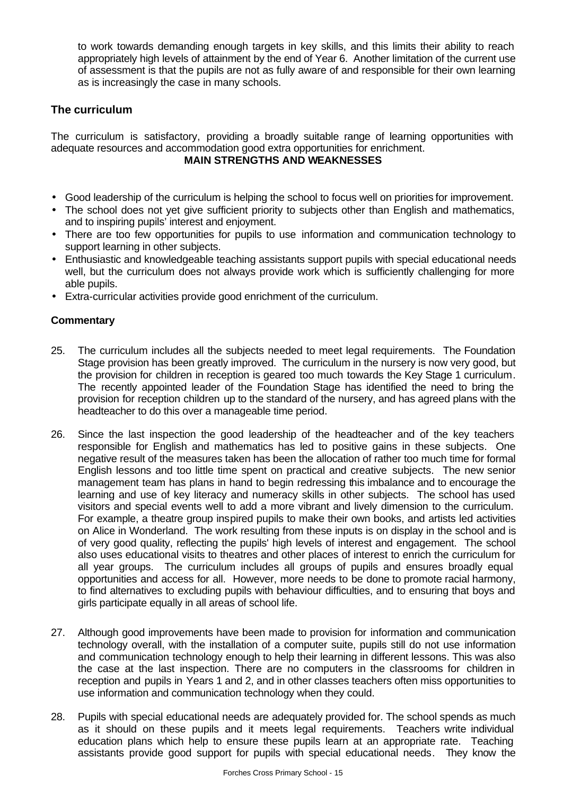to work towards demanding enough targets in key skills, and this limits their ability to reach appropriately high levels of attainment by the end of Year 6. Another limitation of the current use of assessment is that the pupils are not as fully aware of and responsible for their own learning as is increasingly the case in many schools.

## **The curriculum**

The curriculum is satisfactory, providing a broadly suitable range of learning opportunities with adequate resources and accommodation good extra opportunities for enrichment.

## **MAIN STRENGTHS AND WEAKNESSES**

- Good leadership of the curriculum is helping the school to focus well on priorities for improvement.
- The school does not yet give sufficient priority to subjects other than English and mathematics, and to inspiring pupils' interest and enjoyment.
- There are too few opportunities for pupils to use information and communication technology to support learning in other subjects.
- Enthusiastic and knowledgeable teaching assistants support pupils with special educational needs well, but the curriculum does not always provide work which is sufficiently challenging for more able pupils.
- Extra-curricular activities provide good enrichment of the curriculum.

## **Commentary**

- 25. The curriculum includes all the subjects needed to meet legal requirements. The Foundation Stage provision has been greatly improved. The curriculum in the nursery is now very good, but the provision for children in reception is geared too much towards the Key Stage 1 curriculum. The recently appointed leader of the Foundation Stage has identified the need to bring the provision for reception children up to the standard of the nursery, and has agreed plans with the headteacher to do this over a manageable time period.
- 26. Since the last inspection the good leadership of the headteacher and of the key teachers responsible for English and mathematics has led to positive gains in these subjects. One negative result of the measures taken has been the allocation of rather too much time for formal English lessons and too little time spent on practical and creative subjects. The new senior management team has plans in hand to begin redressing this imbalance and to encourage the learning and use of key literacy and numeracy skills in other subjects. The school has used visitors and special events well to add a more vibrant and lively dimension to the curriculum. For example, a theatre group inspired pupils to make their own books, and artists led activities on Alice in Wonderland. The work resulting from these inputs is on display in the school and is of very good quality, reflecting the pupils' high levels of interest and engagement. The school also uses educational visits to theatres and other places of interest to enrich the curriculum for all year groups. The curriculum includes all groups of pupils and ensures broadly equal opportunities and access for all. However, more needs to be done to promote racial harmony, to find alternatives to excluding pupils with behaviour difficulties, and to ensuring that boys and girls participate equally in all areas of school life.
- 27. Although good improvements have been made to provision for information and communication technology overall, with the installation of a computer suite, pupils still do not use information and communication technology enough to help their learning in different lessons. This was also the case at the last inspection. There are no computers in the classrooms for children in reception and pupils in Years 1 and 2, and in other classes teachers often miss opportunities to use information and communication technology when they could.
- 28. Pupils with special educational needs are adequately provided for. The school spends as much as it should on these pupils and it meets legal requirements. Teachers write individual education plans which help to ensure these pupils learn at an appropriate rate. Teaching assistants provide good support for pupils with special educational needs. They know the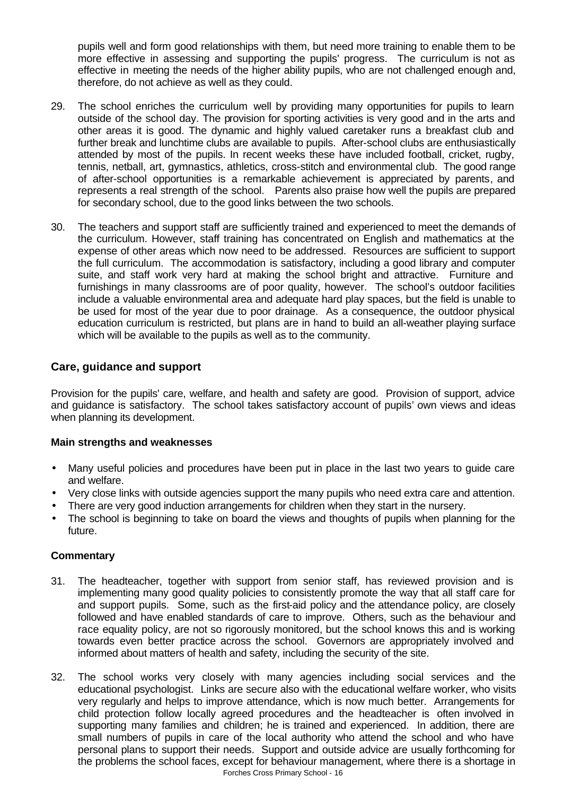pupils well and form good relationships with them, but need more training to enable them to be more effective in assessing and supporting the pupils' progress. The curriculum is not as effective in meeting the needs of the higher ability pupils, who are not challenged enough and, therefore, do not achieve as well as they could.

- 29. The school enriches the curriculum well by providing many opportunities for pupils to learn outside of the school day. The provision for sporting activities is very good and in the arts and other areas it is good. The dynamic and highly valued caretaker runs a breakfast club and further break and lunchtime clubs are available to pupils. After-school clubs are enthusiastically attended by most of the pupils. In recent weeks these have included football, cricket, rugby, tennis, netball, art, gymnastics, athletics, cross-stitch and environmental club. The good range of after-school opportunities is a remarkable achievement is appreciated by parents, and represents a real strength of the school. Parents also praise how well the pupils are prepared for secondary school, due to the good links between the two schools.
- 30. The teachers and support staff are sufficiently trained and experienced to meet the demands of the curriculum. However, staff training has concentrated on English and mathematics at the expense of other areas which now need to be addressed. Resources are sufficient to support the full curriculum. The accommodation is satisfactory, including a good library and computer suite, and staff work very hard at making the school bright and attractive. Furniture and furnishings in many classrooms are of poor quality, however. The school's outdoor facilities include a valuable environmental area and adequate hard play spaces, but the field is unable to be used for most of the year due to poor drainage. As a consequence, the outdoor physical education curriculum is restricted, but plans are in hand to build an all-weather playing surface which will be available to the pupils as well as to the community.

## **Care, guidance and support**

Provision for the pupils' care, welfare, and health and safety are good. Provision of support, advice and guidance is satisfactory. The school takes satisfactory account of pupils' own views and ideas when planning its development.

## **Main strengths and weaknesses**

- Many useful policies and procedures have been put in place in the last two years to guide care and welfare.
- Very close links with outside agencies support the many pupils who need extra care and attention.
- There are very good induction arrangements for children when they start in the nursery.
- The school is beginning to take on board the views and thoughts of pupils when planning for the future.

## **Commentary**

- 31. The headteacher, together with support from senior staff, has reviewed provision and is implementing many good quality policies to consistently promote the way that all staff care for and support pupils. Some, such as the first-aid policy and the attendance policy, are closely followed and have enabled standards of care to improve. Others, such as the behaviour and race equality policy, are not so rigorously monitored, but the school knows this and is working towards even better practice across the school. Governors are appropriately involved and informed about matters of health and safety, including the security of the site.
- Forches Cross Primary School 16 32. The school works very closely with many agencies including social services and the educational psychologist. Links are secure also with the educational welfare worker, who visits very regularly and helps to improve attendance, which is now much better. Arrangements for child protection follow locally agreed procedures and the headteacher is often involved in supporting many families and children; he is trained and experienced. In addition, there are small numbers of pupils in care of the local authority who attend the school and who have personal plans to support their needs. Support and outside advice are usually forthcoming for the problems the school faces, except for behaviour management, where there is a shortage in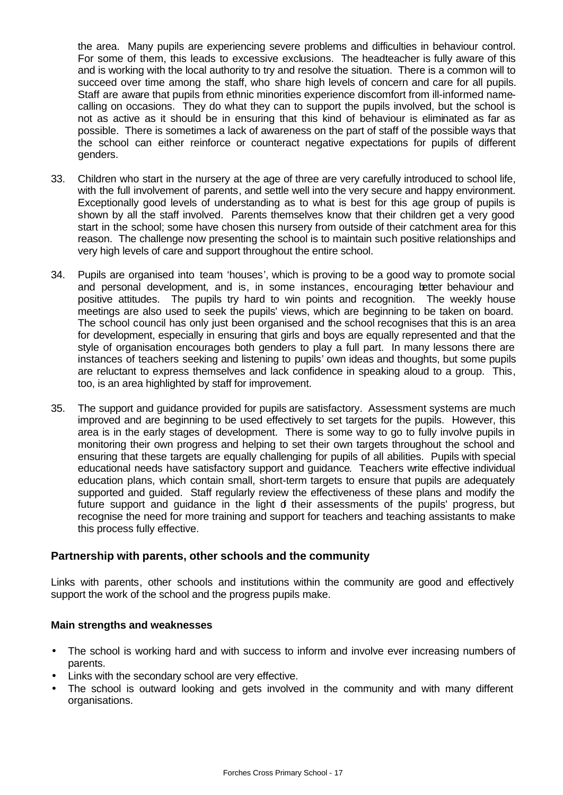the area. Many pupils are experiencing severe problems and difficulties in behaviour control. For some of them, this leads to excessive exclusions. The headteacher is fully aware of this and is working with the local authority to try and resolve the situation. There is a common will to succeed over time among the staff, who share high levels of concern and care for all pupils. Staff are aware that pupils from ethnic minorities experience discomfort from ill-informed namecalling on occasions. They do what they can to support the pupils involved, but the school is not as active as it should be in ensuring that this kind of behaviour is eliminated as far as possible. There is sometimes a lack of awareness on the part of staff of the possible ways that the school can either reinforce or counteract negative expectations for pupils of different genders.

- 33. Children who start in the nursery at the age of three are very carefully introduced to school life, with the full involvement of parents, and settle well into the very secure and happy environment. Exceptionally good levels of understanding as to what is best for this age group of pupils is shown by all the staff involved. Parents themselves know that their children get a very good start in the school; some have chosen this nursery from outside of their catchment area for this reason. The challenge now presenting the school is to maintain such positive relationships and very high levels of care and support throughout the entire school.
- 34. Pupils are organised into team 'houses', which is proving to be a good way to promote social and personal development, and is, in some instances, encouraging better behaviour and positive attitudes. The pupils try hard to win points and recognition. The weekly house meetings are also used to seek the pupils' views, which are beginning to be taken on board. The school council has only just been organised and the school recognises that this is an area for development, especially in ensuring that girls and boys are equally represented and that the style of organisation encourages both genders to play a full part. In many lessons there are instances of teachers seeking and listening to pupils' own ideas and thoughts, but some pupils are reluctant to express themselves and lack confidence in speaking aloud to a group. This, too, is an area highlighted by staff for improvement.
- 35. The support and guidance provided for pupils are satisfactory. Assessment systems are much improved and are beginning to be used effectively to set targets for the pupils. However, this area is in the early stages of development. There is some way to go to fully involve pupils in monitoring their own progress and helping to set their own targets throughout the school and ensuring that these targets are equally challenging for pupils of all abilities. Pupils with special educational needs have satisfactory support and guidance. Teachers write effective individual education plans, which contain small, short-term targets to ensure that pupils are adequately supported and guided. Staff regularly review the effectiveness of these plans and modify the future support and quidance in the light of their assessments of the pupils' progress, but recognise the need for more training and support for teachers and teaching assistants to make this process fully effective.

## **Partnership with parents, other schools and the community**

Links with parents, other schools and institutions within the community are good and effectively support the work of the school and the progress pupils make.

#### **Main strengths and weaknesses**

- The school is working hard and with success to inform and involve ever increasing numbers of parents.
- Links with the secondary school are very effective.
- The school is outward looking and gets involved in the community and with many different organisations.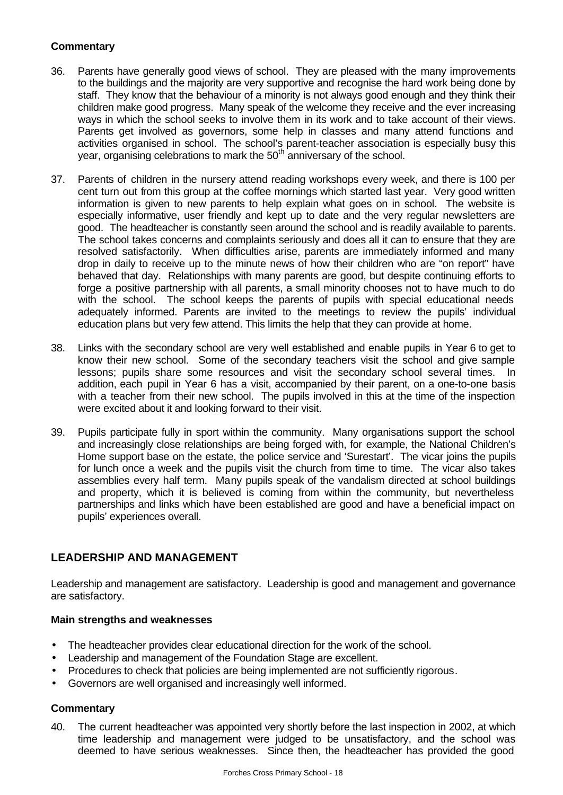## **Commentary**

- 36. Parents have generally good views of school. They are pleased with the many improvements to the buildings and the majority are very supportive and recognise the hard work being done by staff. They know that the behaviour of a minority is not always good enough and they think their children make good progress. Many speak of the welcome they receive and the ever increasing ways in which the school seeks to involve them in its work and to take account of their views. Parents get involved as governors, some help in classes and many attend functions and activities organised in school. The school's parent-teacher association is especially busy this year, organising celebrations to mark the 50<sup>th</sup> anniversary of the school.
- 37. Parents of children in the nursery attend reading workshops every week, and there is 100 per cent turn out from this group at the coffee mornings which started last year. Very good written information is given to new parents to help explain what goes on in school. The website is especially informative, user friendly and kept up to date and the very regular newsletters are good. The headteacher is constantly seen around the school and is readily available to parents. The school takes concerns and complaints seriously and does all it can to ensure that they are resolved satisfactorily. When difficulties arise, parents are immediately informed and many drop in daily to receive up to the minute news of how their children who are "on report" have behaved that day. Relationships with many parents are good, but despite continuing efforts to forge a positive partnership with all parents, a small minority chooses not to have much to do with the school. The school keeps the parents of pupils with special educational needs adequately informed. Parents are invited to the meetings to review the pupils' individual education plans but very few attend. This limits the help that they can provide at home.
- 38. Links with the secondary school are very well established and enable pupils in Year 6 to get to know their new school. Some of the secondary teachers visit the school and give sample lessons; pupils share some resources and visit the secondary school several times. In addition, each pupil in Year 6 has a visit, accompanied by their parent, on a one-to-one basis with a teacher from their new school. The pupils involved in this at the time of the inspection were excited about it and looking forward to their visit.
- 39. Pupils participate fully in sport within the community. Many organisations support the school and increasingly close relationships are being forged with, for example, the National Children's Home support base on the estate, the police service and 'Surestart'. The vicar joins the pupils for lunch once a week and the pupils visit the church from time to time. The vicar also takes assemblies every half term. Many pupils speak of the vandalism directed at school buildings and property, which it is believed is coming from within the community, but nevertheless partnerships and links which have been established are good and have a beneficial impact on pupils' experiences overall.

## **LEADERSHIP AND MANAGEMENT**

Leadership and management are satisfactory. Leadership is good and management and governance are satisfactory.

## **Main strengths and weaknesses**

- The headteacher provides clear educational direction for the work of the school.
- Leadership and management of the Foundation Stage are excellent.
- Procedures to check that policies are being implemented are not sufficiently rigorous.
- Governors are well organised and increasingly well informed.

## **Commentary**

40. The current headteacher was appointed very shortly before the last inspection in 2002, at which time leadership and management were judged to be unsatisfactory, and the school was deemed to have serious weaknesses. Since then, the headteacher has provided the good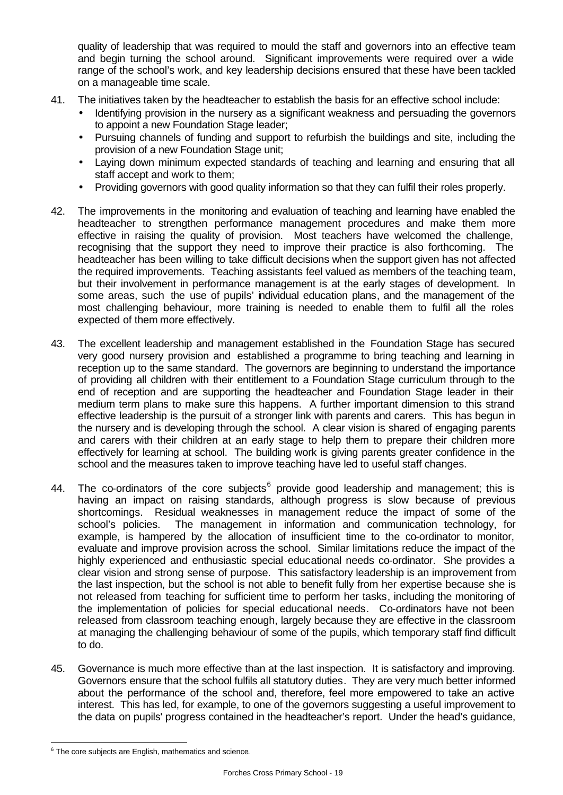quality of leadership that was required to mould the staff and governors into an effective team and begin turning the school around. Significant improvements were required over a wide range of the school's work, and key leadership decisions ensured that these have been tackled on a manageable time scale.

- 41. The initiatives taken by the headteacher to establish the basis for an effective school include:
	- Identifying provision in the nursery as a significant weakness and persuading the governors to appoint a new Foundation Stage leader;
	- Pursuing channels of funding and support to refurbish the buildings and site, including the provision of a new Foundation Stage unit;
	- Laying down minimum expected standards of teaching and learning and ensuring that all staff accept and work to them;
	- Providing governors with good quality information so that they can fulfil their roles properly.
- 42. The improvements in the monitoring and evaluation of teaching and learning have enabled the headteacher to strengthen performance management procedures and make them more effective in raising the quality of provision. Most teachers have welcomed the challenge, recognising that the support they need to improve their practice is also forthcoming. The headteacher has been willing to take difficult decisions when the support given has not affected the required improvements. Teaching assistants feel valued as members of the teaching team, but their involvement in performance management is at the early stages of development. In some areas, such the use of pupils' individual education plans, and the management of the most challenging behaviour, more training is needed to enable them to fulfil all the roles expected of them more effectively.
- 43. The excellent leadership and management established in the Foundation Stage has secured very good nursery provision and established a programme to bring teaching and learning in reception up to the same standard. The governors are beginning to understand the importance of providing all children with their entitlement to a Foundation Stage curriculum through to the end of reception and are supporting the headteacher and Foundation Stage leader in their medium term plans to make sure this happens. A further important dimension to this strand effective leadership is the pursuit of a stronger link with parents and carers. This has begun in the nursery and is developing through the school. A clear vision is shared of engaging parents and carers with their children at an early stage to help them to prepare their children more effectively for learning at school. The building work is giving parents greater confidence in the school and the measures taken to improve teaching have led to useful staff changes.
- 44. The co-ordinators of the core subjects<sup>6</sup> provide good leadership and management; this is having an impact on raising standards, although progress is slow because of previous shortcomings. Residual weaknesses in management reduce the impact of some of the school's policies. The management in information and communication technology, for example, is hampered by the allocation of insufficient time to the co-ordinator to monitor, evaluate and improve provision across the school. Similar limitations reduce the impact of the highly experienced and enthusiastic special educational needs co-ordinator. She provides a clear vision and strong sense of purpose. This satisfactory leadership is an improvement from the last inspection, but the school is not able to benefit fully from her expertise because she is not released from teaching for sufficient time to perform her tasks, including the monitoring of the implementation of policies for special educational needs. Co-ordinators have not been released from classroom teaching enough, largely because they are effective in the classroom at managing the challenging behaviour of some of the pupils, which temporary staff find difficult to do.
- 45. Governance is much more effective than at the last inspection. It is satisfactory and improving. Governors ensure that the school fulfils all statutory duties. They are very much better informed about the performance of the school and, therefore, feel more empowered to take an active interest. This has led, for example, to one of the governors suggesting a useful improvement to the data on pupils' progress contained in the headteacher's report. Under the head's guidance,

l  $6$  The core subjects are English, mathematics and science.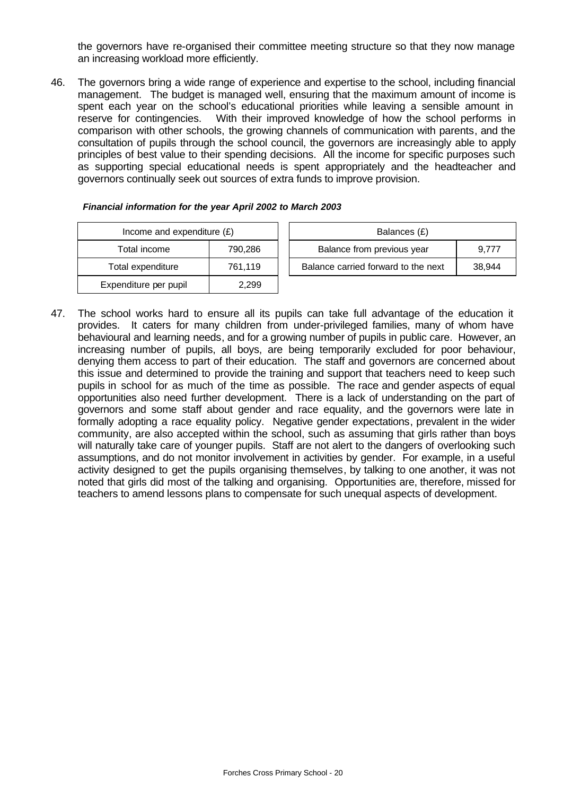the governors have re-organised their committee meeting structure so that they now manage an increasing workload more efficiently.

46. The governors bring a wide range of experience and expertise to the school, including financial management. The budget is managed well, ensuring that the maximum amount of income is spent each year on the school's educational priorities while leaving a sensible amount in reserve for contingencies. With their improved knowledge of how the school performs in comparison with other schools, the growing channels of communication with parents, and the consultation of pupils through the school council, the governors are increasingly able to apply principles of best value to their spending decisions. All the income for specific purposes such as supporting special educational needs is spent appropriately and the headteacher and governors continually seek out sources of extra funds to improve provision.

| Income and expenditure $(E)$ |         |  | Balances (£)                   |
|------------------------------|---------|--|--------------------------------|
| Total income                 | 790,286 |  | Balance from previous year     |
| Total expenditure            | 761,119 |  | Balance carried forward to the |
| Expenditure per pupil        | 2.299   |  |                                |

| Income and expenditure $(E)$ |         | Balances (£)                        |        |
|------------------------------|---------|-------------------------------------|--------|
| Total income                 | 790.286 | Balance from previous year          | 9.777  |
| Total expenditure            | 761.119 | Balance carried forward to the next | 38.944 |

47. The school works hard to ensure all its pupils can take full advantage of the education it provides. It caters for many children from under-privileged families, many of whom have behavioural and learning needs, and for a growing number of pupils in public care. However, an increasing number of pupils, all boys, are being temporarily excluded for poor behaviour, denying them access to part of their education. The staff and governors are concerned about this issue and determined to provide the training and support that teachers need to keep such pupils in school for as much of the time as possible. The race and gender aspects of equal opportunities also need further development. There is a lack of understanding on the part of governors and some staff about gender and race equality, and the governors were late in formally adopting a race equality policy. Negative gender expectations, prevalent in the wider community, are also accepted within the school, such as assuming that girls rather than boys will naturally take care of younger pupils. Staff are not alert to the dangers of overlooking such assumptions, and do not monitor involvement in activities by gender. For example, in a useful activity designed to get the pupils organising themselves, by talking to one another, it was not noted that girls did most of the talking and organising. Opportunities are, therefore, missed for teachers to amend lessons plans to compensate for such unequal aspects of development.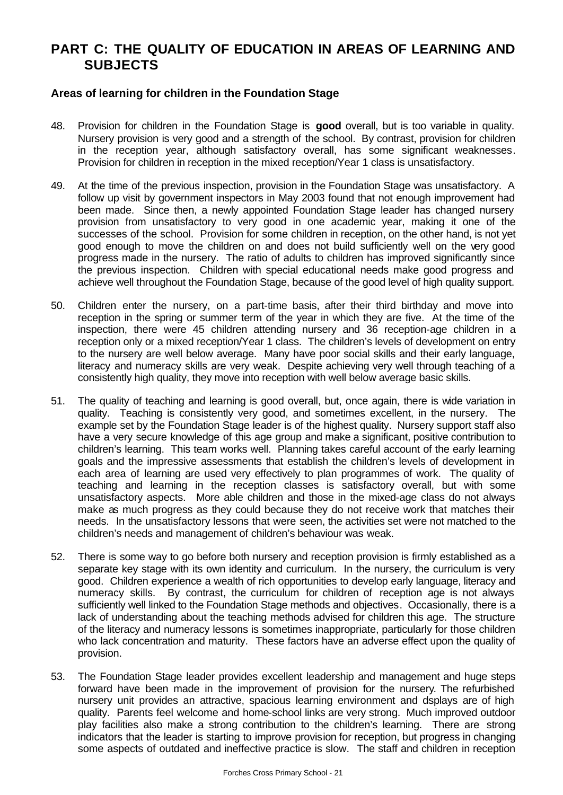# **PART C: THE QUALITY OF EDUCATION IN AREAS OF LEARNING AND SUBJECTS**

## **Areas of learning for children in the Foundation Stage**

- 48. Provision for children in the Foundation Stage is **good** overall, but is too variable in quality. Nursery provision is very good and a strength of the school. By contrast, provision for children in the reception year, although satisfactory overall, has some significant weaknesses. Provision for children in reception in the mixed reception/Year 1 class is unsatisfactory.
- 49. At the time of the previous inspection, provision in the Foundation Stage was unsatisfactory. A follow up visit by government inspectors in May 2003 found that not enough improvement had been made. Since then, a newly appointed Foundation Stage leader has changed nursery provision from unsatisfactory to very good in one academic year, making it one of the successes of the school. Provision for some children in reception, on the other hand, is not yet good enough to move the children on and does not build sufficiently well on the very good progress made in the nursery. The ratio of adults to children has improved significantly since the previous inspection. Children with special educational needs make good progress and achieve well throughout the Foundation Stage, because of the good level of high quality support.
- 50. Children enter the nursery, on a part-time basis, after their third birthday and move into reception in the spring or summer term of the year in which they are five. At the time of the inspection, there were 45 children attending nursery and 36 reception-age children in a reception only or a mixed reception/Year 1 class. The children's levels of development on entry to the nursery are well below average. Many have poor social skills and their early language, literacy and numeracy skills are very weak. Despite achieving very well through teaching of a consistently high quality, they move into reception with well below average basic skills.
- 51. The quality of teaching and learning is good overall, but, once again, there is wide variation in quality. Teaching is consistently very good, and sometimes excellent, in the nursery. The example set by the Foundation Stage leader is of the highest quality. Nursery support staff also have a very secure knowledge of this age group and make a significant, positive contribution to children's learning. This team works well. Planning takes careful account of the early learning goals and the impressive assessments that establish the children's levels of development in each area of learning are used very effectively to plan programmes of work. The quality of teaching and learning in the reception classes is satisfactory overall, but with some unsatisfactory aspects. More able children and those in the mixed-age class do not always make as much progress as they could because they do not receive work that matches their needs. In the unsatisfactory lessons that were seen, the activities set were not matched to the children's needs and management of children's behaviour was weak.
- 52. There is some way to go before both nursery and reception provision is firmly established as a separate key stage with its own identity and curriculum. In the nursery, the curriculum is very good. Children experience a wealth of rich opportunities to develop early language, literacy and numeracy skills. By contrast, the curriculum for children of reception age is not always sufficiently well linked to the Foundation Stage methods and objectives. Occasionally, there is a lack of understanding about the teaching methods advised for children this age. The structure of the literacy and numeracy lessons is sometimes inappropriate, particularly for those children who lack concentration and maturity. These factors have an adverse effect upon the quality of provision.
- 53. The Foundation Stage leader provides excellent leadership and management and huge steps forward have been made in the improvement of provision for the nursery. The refurbished nursery unit provides an attractive, spacious learning environment and dsplays are of high quality. Parents feel welcome and home-school links are very strong. Much improved outdoor play facilities also make a strong contribution to the children's learning. There are strong indicators that the leader is starting to improve provision for reception, but progress in changing some aspects of outdated and ineffective practice is slow. The staff and children in reception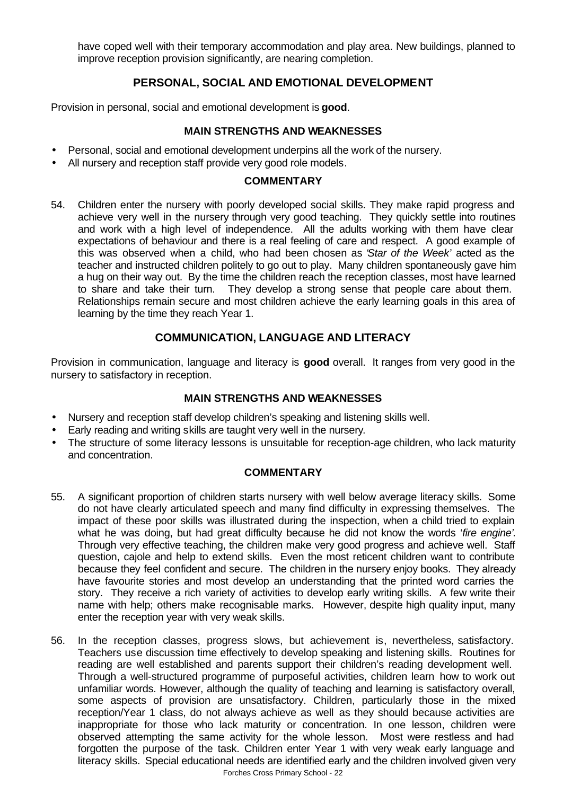have coped well with their temporary accommodation and play area. New buildings, planned to improve reception provision significantly, are nearing completion.

## **PERSONAL, SOCIAL AND EMOTIONAL DEVELOPMENT**

Provision in personal, social and emotional development is **good**.

## **MAIN STRENGTHS AND WEAKNESSES**

- Personal, social and emotional development underpins all the work of the nursery.
- All nursery and reception staff provide very good role models.

#### **COMMENTARY**

54. Children enter the nursery with poorly developed social skills. They make rapid progress and achieve very well in the nursery through very good teaching. They quickly settle into routines and work with a high level of independence. All the adults working with them have clear expectations of behaviour and there is a real feeling of care and respect. A good example of this was observed when a child, who had been chosen as '*Star of the Week*' acted as the teacher and instructed children politely to go out to play. Many children spontaneously gave him a hug on their way out. By the time the children reach the reception classes, most have learned to share and take their turn. They develop a strong sense that people care about them. Relationships remain secure and most children achieve the early learning goals in this area of learning by the time they reach Year 1.

## **COMMUNICATION, LANGUAGE AND LITERACY**

Provision in communication, language and literacy is **good** overall. It ranges from very good in the nursery to satisfactory in reception.

## **MAIN STRENGTHS AND WEAKNESSES**

- Nursery and reception staff develop children's speaking and listening skills well.
- Early reading and writing skills are taught very well in the nursery.
- The structure of some literacy lessons is unsuitable for reception-age children, who lack maturity and concentration.

- 55. A significant proportion of children starts nursery with well below average literacy skills. Some do not have clearly articulated speech and many find difficulty in expressing themselves. The impact of these poor skills was illustrated during the inspection, when a child tried to explain what he was doing, but had great difficulty because he did not know the words '*fire engine'*. Through very effective teaching, the children make very good progress and achieve well. Staff question, cajole and help to extend skills. Even the most reticent children want to contribute because they feel confident and secure. The children in the nursery enjoy books. They already have favourite stories and most develop an understanding that the printed word carries the story. They receive a rich variety of activities to develop early writing skills. A few write their name with help; others make recognisable marks. However, despite high quality input, many enter the reception year with very weak skills.
- 56. In the reception classes, progress slows, but achievement is, nevertheless, satisfactory. Teachers use discussion time effectively to develop speaking and listening skills. Routines for reading are well established and parents support their children's reading development well. Through a well-structured programme of purposeful activities, children learn how to work out unfamiliar words. However, although the quality of teaching and learning is satisfactory overall, some aspects of provision are unsatisfactory. Children, particularly those in the mixed reception/Year 1 class, do not always achieve as well as they should because activities are inappropriate for those who lack maturity or concentration. In one lesson, children were observed attempting the same activity for the whole lesson. Most were restless and had forgotten the purpose of the task. Children enter Year 1 with very weak early language and literacy skills. Special educational needs are identified early and the children involved given very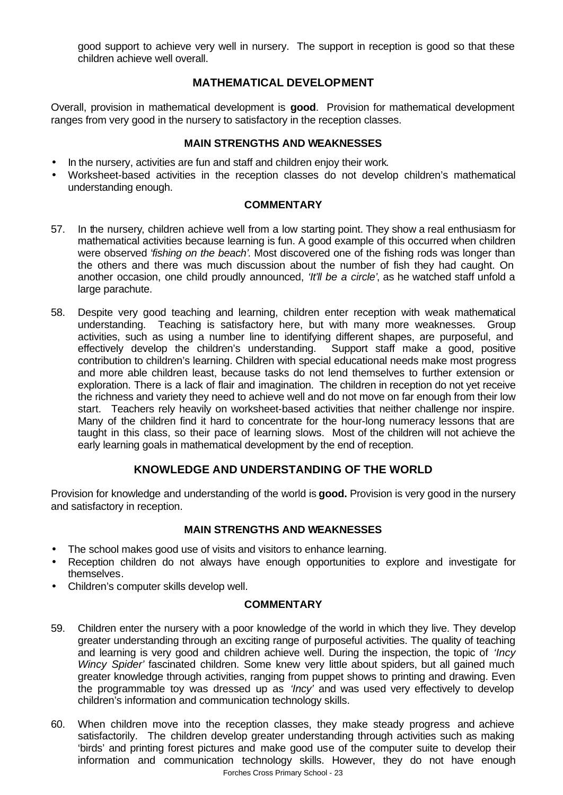good support to achieve very well in nursery. The support in reception is good so that these children achieve well overall.

## **MATHEMATICAL DEVELOPMENT**

Overall, provision in mathematical development is **good**. Provision for mathematical development ranges from very good in the nursery to satisfactory in the reception classes.

#### **MAIN STRENGTHS AND WEAKNESSES**

- In the nursery, activities are fun and staff and children enjoy their work.
- Worksheet-based activities in the reception classes do not develop children's mathematical understanding enough.

#### **COMMENTARY**

- 57. In the nursery, children achieve well from a low starting point. They show a real enthusiasm for mathematical activities because learning is fun. A good example of this occurred when children were observed '*fishing on the beach'*. Most discovered one of the fishing rods was longer than the others and there was much discussion about the number of fish they had caught. On another occasion, one child proudly announced, *'It'll be a circle'*, as he watched staff unfold a large parachute.
- 58. Despite very good teaching and learning, children enter reception with weak mathematical understanding. Teaching is satisfactory here, but with many more weaknesses. Group activities, such as using a number line to identifying different shapes, are purposeful, and effectively develop the children's understanding. Support staff make a good, positive contribution to children's learning. Children with special educational needs make most progress and more able children least, because tasks do not lend themselves to further extension or exploration. There is a lack of flair and imagination. The children in reception do not yet receive the richness and variety they need to achieve well and do not move on far enough from their low start. Teachers rely heavily on worksheet-based activities that neither challenge nor inspire. Many of the children find it hard to concentrate for the hour-long numeracy lessons that are taught in this class, so their pace of learning slows. Most of the children will not achieve the early learning goals in mathematical development by the end of reception.

## **KNOWLEDGE AND UNDERSTANDING OF THE WORLD**

Provision for knowledge and understanding of the world is **good.** Provision is very good in the nursery and satisfactory in reception.

## **MAIN STRENGTHS AND WEAKNESSES**

- The school makes good use of visits and visitors to enhance learning.
- Reception children do not always have enough opportunities to explore and investigate for themselves.
- Children's computer skills develop well.

- 59. Children enter the nursery with a poor knowledge of the world in which they live. They develop greater understanding through an exciting range of purposeful activities. The quality of teaching and learning is very good and children achieve well. During the inspection, the topic of *'Incy Wincy Spider'* fascinated children. Some knew very little about spiders, but all gained much greater knowledge through activities, ranging from puppet shows to printing and drawing. Even the programmable toy was dressed up as *'Incy'* and was used very effectively to develop children's information and communication technology skills.
- Forches Cross Primary School 23 60. When children move into the reception classes, they make steady progress and achieve satisfactorily. The children develop greater understanding through activities such as making 'birds' and printing forest pictures and make good use of the computer suite to develop their information and communication technology skills. However, they do not have enough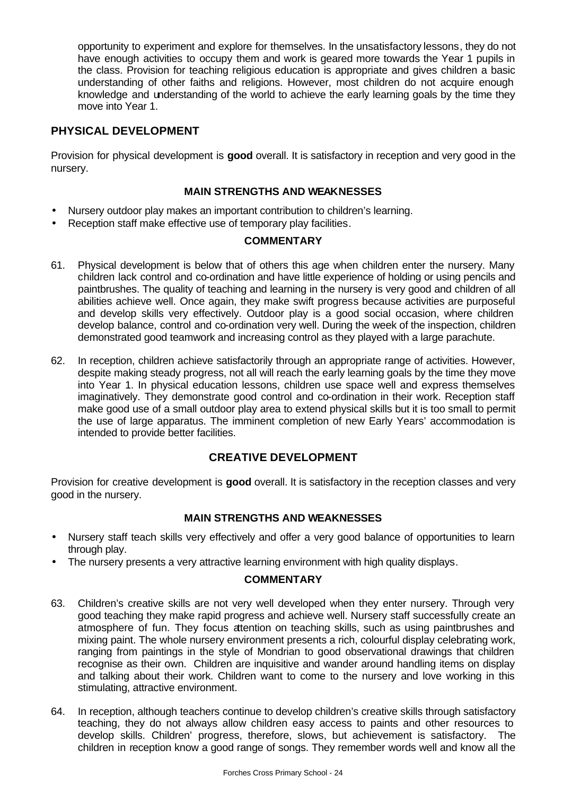opportunity to experiment and explore for themselves. In the unsatisfactory lessons, they do not have enough activities to occupy them and work is geared more towards the Year 1 pupils in the class. Provision for teaching religious education is appropriate and gives children a basic understanding of other faiths and religions. However, most children do not acquire enough knowledge and understanding of the world to achieve the early learning goals by the time they move into Year 1.

## **PHYSICAL DEVELOPMENT**

Provision for physical development is **good** overall. It is satisfactory in reception and very good in the nursery.

## **MAIN STRENGTHS AND WEAKNESSES**

- Nursery outdoor play makes an important contribution to children's learning.
- Reception staff make effective use of temporary play facilities.

#### **COMMENTARY**

- 61. Physical development is below that of others this age when children enter the nursery. Many children lack control and co-ordination and have little experience of holding or using pencils and paintbrushes. The quality of teaching and learning in the nursery is very good and children of all abilities achieve well. Once again, they make swift progress because activities are purposeful and develop skills very effectively. Outdoor play is a good social occasion, where children develop balance, control and co-ordination very well. During the week of the inspection, children demonstrated good teamwork and increasing control as they played with a large parachute.
- 62. In reception, children achieve satisfactorily through an appropriate range of activities. However, despite making steady progress, not all will reach the early learning goals by the time they move into Year 1. In physical education lessons, children use space well and express themselves imaginatively. They demonstrate good control and co-ordination in their work. Reception staff make good use of a small outdoor play area to extend physical skills but it is too small to permit the use of large apparatus. The imminent completion of new Early Years' accommodation is intended to provide better facilities.

## **CREATIVE DEVELOPMENT**

Provision for creative development is **good** overall. It is satisfactory in the reception classes and very good in the nursery.

## **MAIN STRENGTHS AND WEAKNESSES**

- Nursery staff teach skills very effectively and offer a very good balance of opportunities to learn through play.
- The nursery presents a very attractive learning environment with high quality displays.

- 63. Children's creative skills are not very well developed when they enter nursery. Through very good teaching they make rapid progress and achieve well. Nursery staff successfully create an atmosphere of fun. They focus attention on teaching skills, such as using paintbrushes and mixing paint. The whole nursery environment presents a rich, colourful display celebrating work, ranging from paintings in the style of Mondrian to good observational drawings that children recognise as their own. Children are inquisitive and wander around handling items on display and talking about their work. Children want to come to the nursery and love working in this stimulating, attractive environment.
- 64. In reception, although teachers continue to develop children's creative skills through satisfactory teaching, they do not always allow children easy access to paints and other resources to develop skills. Children' progress, therefore, slows, but achievement is satisfactory. The children in reception know a good range of songs. They remember words well and know all the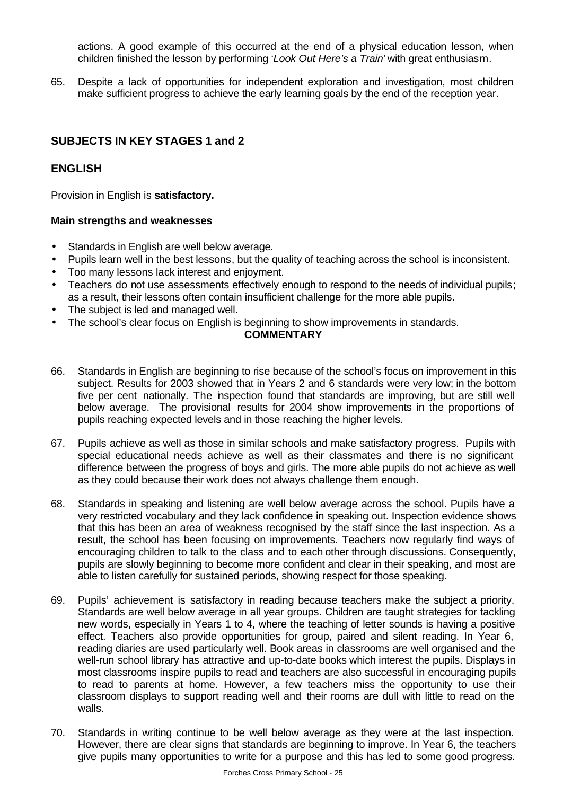actions. A good example of this occurred at the end of a physical education lesson, when children finished the lesson by performing '*Look Out Here's a Train'* with great enthusiasm.

65. Despite a lack of opportunities for independent exploration and investigation, most children make sufficient progress to achieve the early learning goals by the end of the reception year.

## **SUBJECTS IN KEY STAGES 1 and 2**

## **ENGLISH**

Provision in English is **satisfactory.**

#### **Main strengths and weaknesses**

- Standards in English are well below average.
- Pupils learn well in the best lessons, but the quality of teaching across the school is inconsistent.
- Too many lessons lack interest and enjoyment.
- Teachers do not use assessments effectively enough to respond to the needs of individual pupils; as a result, their lessons often contain insufficient challenge for the more able pupils.
- The subject is led and managed well.
- The school's clear focus on English is beginning to show improvements in standards.

- 66. Standards in English are beginning to rise because of the school's focus on improvement in this subject. Results for 2003 showed that in Years 2 and 6 standards were very low; in the bottom five per cent nationally. The inspection found that standards are improving, but are still well below average. The provisional results for 2004 show improvements in the proportions of pupils reaching expected levels and in those reaching the higher levels.
- 67. Pupils achieve as well as those in similar schools and make satisfactory progress. Pupils with special educational needs achieve as well as their classmates and there is no significant difference between the progress of boys and girls. The more able pupils do not achieve as well as they could because their work does not always challenge them enough.
- 68. Standards in speaking and listening are well below average across the school. Pupils have a very restricted vocabulary and they lack confidence in speaking out. Inspection evidence shows that this has been an area of weakness recognised by the staff since the last inspection. As a result, the school has been focusing on improvements. Teachers now regularly find ways of encouraging children to talk to the class and to each other through discussions. Consequently, pupils are slowly beginning to become more confident and clear in their speaking, and most are able to listen carefully for sustained periods, showing respect for those speaking.
- 69. Pupils' achievement is satisfactory in reading because teachers make the subject a priority. Standards are well below average in all year groups. Children are taught strategies for tackling new words, especially in Years 1 to 4, where the teaching of letter sounds is having a positive effect. Teachers also provide opportunities for group, paired and silent reading. In Year 6, reading diaries are used particularly well. Book areas in classrooms are well organised and the well-run school library has attractive and up-to-date books which interest the pupils. Displays in most classrooms inspire pupils to read and teachers are also successful in encouraging pupils to read to parents at home. However, a few teachers miss the opportunity to use their classroom displays to support reading well and their rooms are dull with little to read on the walls.
- 70. Standards in writing continue to be well below average as they were at the last inspection. However, there are clear signs that standards are beginning to improve. In Year 6, the teachers give pupils many opportunities to write for a purpose and this has led to some good progress.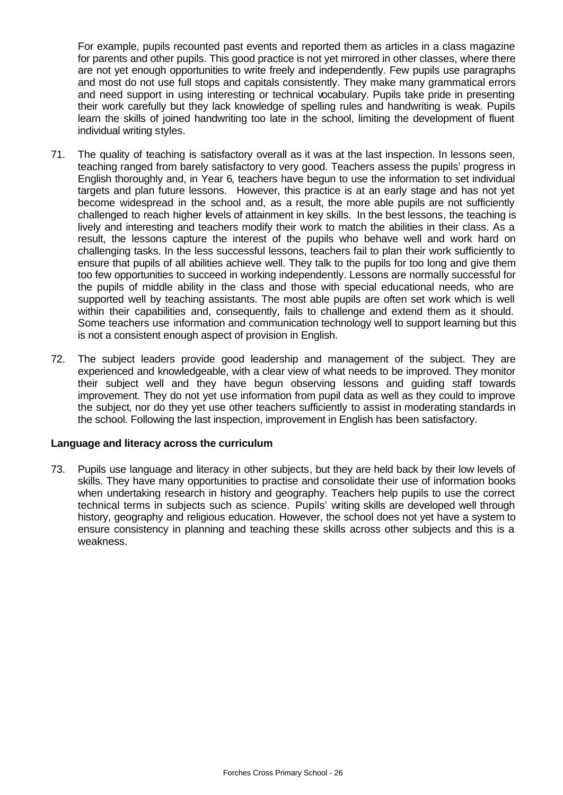For example, pupils recounted past events and reported them as articles in a class magazine for parents and other pupils. This good practice is not yet mirrored in other classes, where there are not yet enough opportunities to write freely and independently. Few pupils use paragraphs and most do not use full stops and capitals consistently. They make many grammatical errors and need support in using interesting or technical vocabulary. Pupils take pride in presenting their work carefully but they lack knowledge of spelling rules and handwriting is weak. Pupils learn the skills of joined handwriting too late in the school, limiting the development of fluent individual writing styles.

- 71. The quality of teaching is satisfactory overall as it was at the last inspection. In lessons seen, teaching ranged from barely satisfactory to very good. Teachers assess the pupils' progress in English thoroughly and, in Year 6, teachers have begun to use the information to set individual targets and plan future lessons. However, this practice is at an early stage and has not yet become widespread in the school and, as a result, the more able pupils are not sufficiently challenged to reach higher levels of attainment in key skills. In the best lessons, the teaching is lively and interesting and teachers modify their work to match the abilities in their class. As a result, the lessons capture the interest of the pupils who behave well and work hard on challenging tasks. In the less successful lessons, teachers fail to plan their work sufficiently to ensure that pupils of all abilities achieve well. They talk to the pupils for too long and give them too few opportunities to succeed in working independently. Lessons are normally successful for the pupils of middle ability in the class and those with special educational needs, who are supported well by teaching assistants. The most able pupils are often set work which is well within their capabilities and, consequently, fails to challenge and extend them as it should. Some teachers use information and communication technology well to support learning but this is not a consistent enough aspect of provision in English.
- 72. The subject leaders provide good leadership and management of the subject. They are experienced and knowledgeable, with a clear view of what needs to be improved. They monitor their subject well and they have begun observing lessons and guiding staff towards improvement. They do not yet use information from pupil data as well as they could to improve the subject, nor do they yet use other teachers sufficiently to assist in moderating standards in the school. Following the last inspection, improvement in English has been satisfactory.

## **Language and literacy across the curriculum**

73. Pupils use language and literacy in other subjects, but they are held back by their low levels of skills. They have many opportunities to practise and consolidate their use of information books when undertaking research in history and geography. Teachers help pupils to use the correct technical terms in subjects such as science. Pupils' writing skills are developed well through history, geography and religious education. However, the school does not yet have a system to ensure consistency in planning and teaching these skills across other subjects and this is a weakness.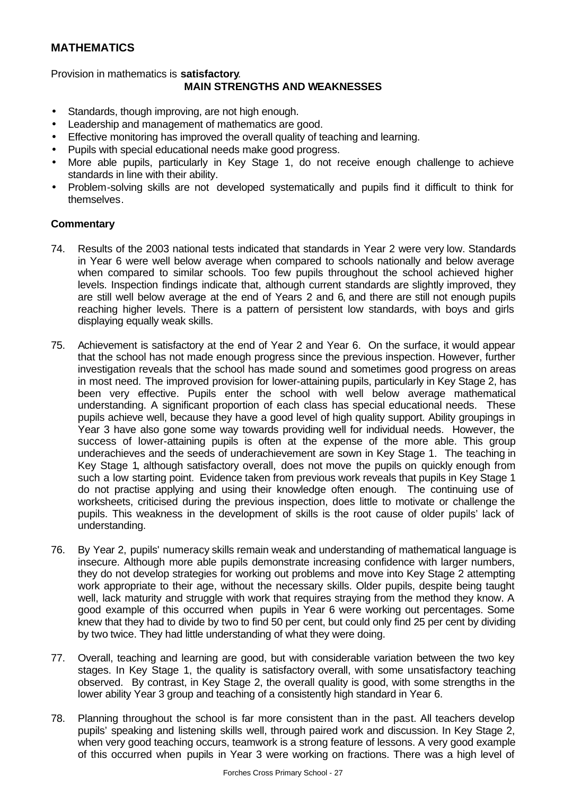## **MATHEMATICS**

Provision in mathematics is **satisfactory**.

## **MAIN STRENGTHS AND WEAKNESSES**

- Standards, though improving, are not high enough.
- Leadership and management of mathematics are good.
- Effective monitoring has improved the overall quality of teaching and learning.
- Pupils with special educational needs make good progress.
- More able pupils, particularly in Key Stage 1, do not receive enough challenge to achieve standards in line with their ability.
- Problem-solving skills are not developed systematically and pupils find it difficult to think for themselves.

#### **Commentary**

- 74. Results of the 2003 national tests indicated that standards in Year 2 were very low. Standards in Year 6 were well below average when compared to schools nationally and below average when compared to similar schools. Too few pupils throughout the school achieved higher levels. Inspection findings indicate that, although current standards are slightly improved, they are still well below average at the end of Years 2 and 6, and there are still not enough pupils reaching higher levels. There is a pattern of persistent low standards, with boys and girls displaying equally weak skills.
- 75. Achievement is satisfactory at the end of Year 2 and Year 6. On the surface, it would appear that the school has not made enough progress since the previous inspection. However, further investigation reveals that the school has made sound and sometimes good progress on areas in most need. The improved provision for lower-attaining pupils, particularly in Key Stage 2, has been very effective. Pupils enter the school with well below average mathematical understanding. A significant proportion of each class has special educational needs. These pupils achieve well, because they have a good level of high quality support. Ability groupings in Year 3 have also gone some way towards providing well for individual needs. However, the success of lower-attaining pupils is often at the expense of the more able. This group underachieves and the seeds of underachievement are sown in Key Stage 1. The teaching in Key Stage 1, although satisfactory overall, does not move the pupils on quickly enough from such a low starting point. Evidence taken from previous work reveals that pupils in Key Stage 1 do not practise applying and using their knowledge often enough. The continuing use of worksheets, criticised during the previous inspection, does little to motivate or challenge the pupils. This weakness in the development of skills is the root cause of older pupils' lack of understanding.
- 76. By Year 2, pupils' numeracy skills remain weak and understanding of mathematical language is insecure. Although more able pupils demonstrate increasing confidence with larger numbers, they do not develop strategies for working out problems and move into Key Stage 2 attempting work appropriate to their age, without the necessary skills. Older pupils, despite being taught well, lack maturity and struggle with work that requires straying from the method they know. A good example of this occurred when pupils in Year 6 were working out percentages. Some knew that they had to divide by two to find 50 per cent, but could only find 25 per cent by dividing by two twice. They had little understanding of what they were doing.
- 77. Overall, teaching and learning are good, but with considerable variation between the two key stages. In Key Stage 1, the quality is satisfactory overall, with some unsatisfactory teaching observed. By contrast, in Key Stage 2, the overall quality is good, with some strengths in the lower ability Year 3 group and teaching of a consistently high standard in Year 6.
- 78. Planning throughout the school is far more consistent than in the past. All teachers develop pupils' speaking and listening skills well, through paired work and discussion. In Key Stage 2, when very good teaching occurs, teamwork is a strong feature of lessons. A very good example of this occurred when pupils in Year 3 were working on fractions. There was a high level of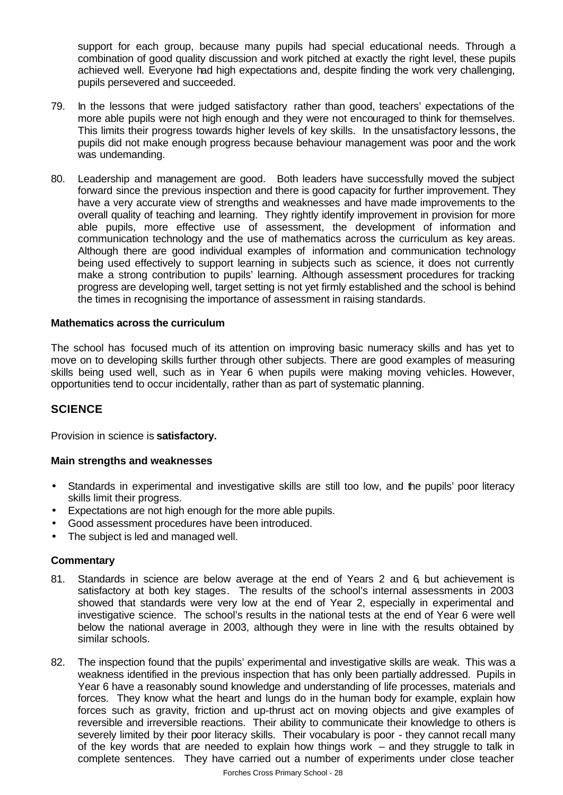support for each group, because many pupils had special educational needs. Through a combination of good quality discussion and work pitched at exactly the right level, these pupils achieved well. Everyone had high expectations and, despite finding the work very challenging, pupils persevered and succeeded.

- 79. In the lessons that were judged satisfactory rather than good, teachers' expectations of the more able pupils were not high enough and they were not encouraged to think for themselves. This limits their progress towards higher levels of key skills. In the unsatisfactory lessons, the pupils did not make enough progress because behaviour management was poor and the work was undemanding.
- 80. Leadership and management are good. Both leaders have successfully moved the subject forward since the previous inspection and there is good capacity for further improvement. They have a very accurate view of strengths and weaknesses and have made improvements to the overall quality of teaching and learning. They rightly identify improvement in provision for more able pupils, more effective use of assessment, the development of information and communication technology and the use of mathematics across the curriculum as key areas. Although there are good individual examples of information and communication technology being used effectively to support learning in subjects such as science, it does not currently make a strong contribution to pupils' learning. Although assessment procedures for tracking progress are developing well, target setting is not yet firmly established and the school is behind the times in recognising the importance of assessment in raising standards.

#### **Mathematics across the curriculum**

The school has focused much of its attention on improving basic numeracy skills and has yet to move on to developing skills further through other subjects. There are good examples of measuring skills being used well, such as in Year 6 when pupils were making moving vehicles. However, opportunities tend to occur incidentally, rather than as part of systematic planning.

## **SCIENCE**

Provision in science is **satisfactory.** 

#### **Main strengths and weaknesses**

- Standards in experimental and investigative skills are still too low, and the pupils' poor literacy skills limit their progress.
- Expectations are not high enough for the more able pupils.
- Good assessment procedures have been introduced.
- The subject is led and managed well.

#### **Commentary**

- 81. Standards in science are below average at the end of Years 2 and 6, but achievement is satisfactory at both key stages. The results of the school's internal assessments in 2003 showed that standards were very low at the end of Year 2, especially in experimental and investigative science. The school's results in the national tests at the end of Year 6 were well below the national average in 2003, although they were in line with the results obtained by similar schools.
- 82. The inspection found that the pupils' experimental and investigative skills are weak. This was a weakness identified in the previous inspection that has only been partially addressed. Pupils in Year 6 have a reasonably sound knowledge and understanding of life processes, materials and forces. They know what the heart and lungs do in the human body for example, explain how forces such as gravity, friction and up-thrust act on moving objects and give examples of reversible and irreversible reactions. Their ability to communicate their knowledge to others is severely limited by their poor literacy skills. Their vocabulary is poor - they cannot recall many of the key words that are needed to explain how things work – and they struggle to talk in complete sentences. They have carried out a number of experiments under close teacher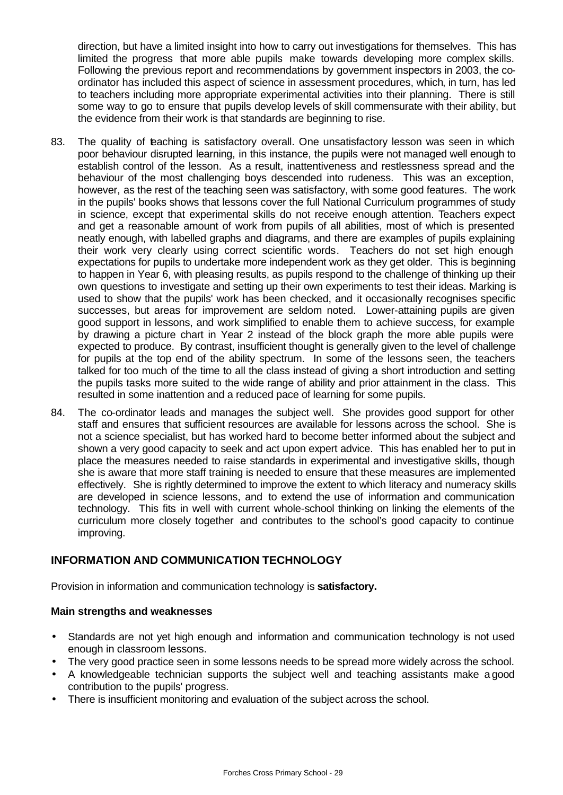direction, but have a limited insight into how to carry out investigations for themselves. This has limited the progress that more able pupils make towards developing more complex skills. Following the previous report and recommendations by government inspectors in 2003, the coordinator has included this aspect of science in assessment procedures, which, in turn, has led to teachers including more appropriate experimental activities into their planning. There is still some way to go to ensure that pupils develop levels of skill commensurate with their ability, but the evidence from their work is that standards are beginning to rise.

- 83. The quality of teaching is satisfactory overall. One unsatisfactory lesson was seen in which poor behaviour disrupted learning, in this instance, the pupils were not managed well enough to establish control of the lesson. As a result, inattentiveness and restlessness spread and the behaviour of the most challenging boys descended into rudeness. This was an exception, however, as the rest of the teaching seen was satisfactory, with some good features. The work in the pupils' books shows that lessons cover the full National Curriculum programmes of study in science, except that experimental skills do not receive enough attention. Teachers expect and get a reasonable amount of work from pupils of all abilities, most of which is presented neatly enough, with labelled graphs and diagrams, and there are examples of pupils explaining their work very clearly using correct scientific words. Teachers do not set high enough expectations for pupils to undertake more independent work as they get older. This is beginning to happen in Year 6, with pleasing results, as pupils respond to the challenge of thinking up their own questions to investigate and setting up their own experiments to test their ideas. Marking is used to show that the pupils' work has been checked, and it occasionally recognises specific successes, but areas for improvement are seldom noted. Lower-attaining pupils are given good support in lessons, and work simplified to enable them to achieve success, for example by drawing a picture chart in Year 2 instead of the block graph the more able pupils were expected to produce. By contrast, insufficient thought is generally given to the level of challenge for pupils at the top end of the ability spectrum. In some of the lessons seen, the teachers talked for too much of the time to all the class instead of giving a short introduction and setting the pupils tasks more suited to the wide range of ability and prior attainment in the class. This resulted in some inattention and a reduced pace of learning for some pupils.
- 84. The co-ordinator leads and manages the subject well. She provides good support for other staff and ensures that sufficient resources are available for lessons across the school. She is not a science specialist, but has worked hard to become better informed about the subject and shown a very good capacity to seek and act upon expert advice. This has enabled her to put in place the measures needed to raise standards in experimental and investigative skills, though she is aware that more staff training is needed to ensure that these measures are implemented effectively. She is rightly determined to improve the extent to which literacy and numeracy skills are developed in science lessons, and to extend the use of information and communication technology. This fits in well with current whole-school thinking on linking the elements of the curriculum more closely together and contributes to the school's good capacity to continue improving.

## **INFORMATION AND COMMUNICATION TECHNOLOGY**

Provision in information and communication technology is **satisfactory.**

## **Main strengths and weaknesses**

- Standards are not yet high enough and information and communication technology is not used enough in classroom lessons.
- The very good practice seen in some lessons needs to be spread more widely across the school.
- A knowledgeable technician supports the subject well and teaching assistants make a good contribution to the pupils' progress.
- There is insufficient monitoring and evaluation of the subject across the school.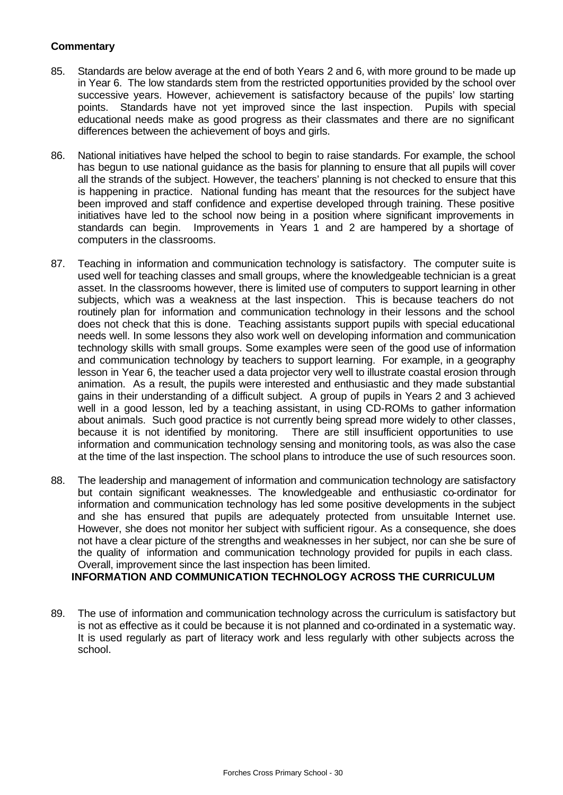## **Commentary**

- 85. Standards are below average at the end of both Years 2 and 6, with more ground to be made up in Year 6. The low standards stem from the restricted opportunities provided by the school over successive years. However, achievement is satisfactory because of the pupils' low starting points. Standards have not yet improved since the last inspection. Pupils with special educational needs make as good progress as their classmates and there are no significant differences between the achievement of boys and girls.
- 86. National initiatives have helped the school to begin to raise standards. For example, the school has begun to use national guidance as the basis for planning to ensure that all pupils will cover all the strands of the subject. However, the teachers' planning is not checked to ensure that this is happening in practice. National funding has meant that the resources for the subject have been improved and staff confidence and expertise developed through training. These positive initiatives have led to the school now being in a position where significant improvements in standards can begin. Improvements in Years 1 and 2 are hampered by a shortage of computers in the classrooms.
- 87. Teaching in information and communication technology is satisfactory. The computer suite is used well for teaching classes and small groups, where the knowledgeable technician is a great asset. In the classrooms however, there is limited use of computers to support learning in other subjects, which was a weakness at the last inspection. This is because teachers do not routinely plan for information and communication technology in their lessons and the school does not check that this is done. Teaching assistants support pupils with special educational needs well. In some lessons they also work well on developing information and communication technology skills with small groups. Some examples were seen of the good use of information and communication technology by teachers to support learning. For example, in a geography lesson in Year 6, the teacher used a data projector very well to illustrate coastal erosion through animation. As a result, the pupils were interested and enthusiastic and they made substantial gains in their understanding of a difficult subject. A group of pupils in Years 2 and 3 achieved well in a good lesson, led by a teaching assistant, in using CD-ROMs to gather information about animals. Such good practice is not currently being spread more widely to other classes, because it is not identified by monitoring. There are still insufficient opportunities to use information and communication technology sensing and monitoring tools, as was also the case at the time of the last inspection. The school plans to introduce the use of such resources soon.
- 88. The leadership and management of information and communication technology are satisfactory but contain significant weaknesses. The knowledgeable and enthusiastic co-ordinator for information and communication technology has led some positive developments in the subject and she has ensured that pupils are adequately protected from unsuitable Internet use. However, she does not monitor her subject with sufficient rigour. As a consequence, she does not have a clear picture of the strengths and weaknesses in her subject, nor can she be sure of the quality of information and communication technology provided for pupils in each class. Overall, improvement since the last inspection has been limited.

## **INFORMATION AND COMMUNICATION TECHNOLOGY ACROSS THE CURRICULUM**

89. The use of information and communication technology across the curriculum is satisfactory but is not as effective as it could be because it is not planned and co-ordinated in a systematic way. It is used regularly as part of literacy work and less regularly with other subjects across the school.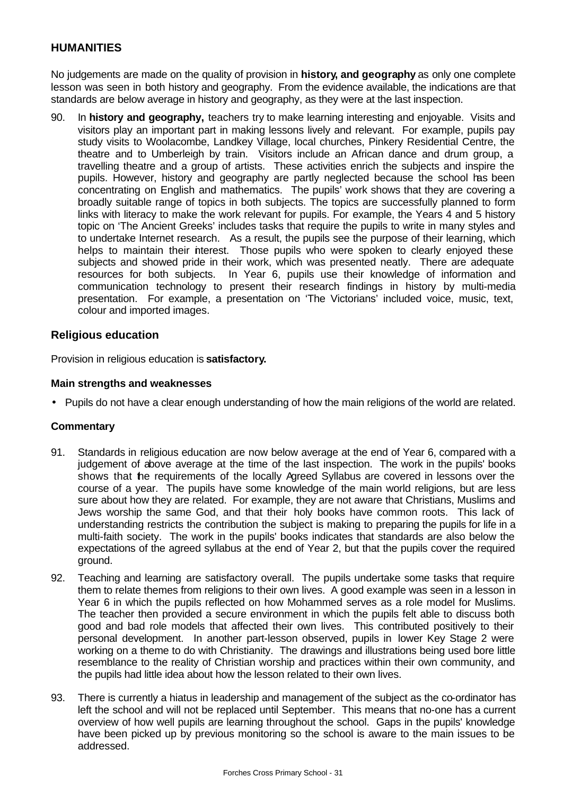## **HUMANITIES**

No judgements are made on the quality of provision in **history, and geography** as only one complete lesson was seen in both history and geography. From the evidence available, the indications are that standards are below average in history and geography, as they were at the last inspection.

90. In **history and geography,** teachers try to make learning interesting and enjoyable. Visits and visitors play an important part in making lessons lively and relevant. For example, pupils pay study visits to Woolacombe, Landkey Village, local churches, Pinkery Residential Centre, the theatre and to Umberleigh by train. Visitors include an African dance and drum group, a travelling theatre and a group of artists. These activities enrich the subjects and inspire the pupils. However, history and geography are partly neglected because the school has been concentrating on English and mathematics. The pupils' work shows that they are covering a broadly suitable range of topics in both subjects. The topics are successfully planned to form links with literacy to make the work relevant for pupils. For example, the Years 4 and 5 history topic on 'The Ancient Greeks' includes tasks that require the pupils to write in many styles and to undertake Internet research. As a result, the pupils see the purpose of their learning, which helps to maintain their interest. Those pupils who were spoken to clearly enjoyed these subjects and showed pride in their work, which was presented neatly. There are adequate resources for both subjects. In Year 6, pupils use their knowledge of information and communication technology to present their research findings in history by multi-media presentation. For example, a presentation on 'The Victorians' included voice, music, text, colour and imported images.

## **Religious education**

Provision in religious education is **satisfactory.**

#### **Main strengths and weaknesses**

• Pupils do not have a clear enough understanding of how the main religions of the world are related.

## **Commentary**

- 91. Standards in religious education are now below average at the end of Year 6, compared with a judgement of above average at the time of the last inspection. The work in the pupils' books shows that the requirements of the locally Agreed Syllabus are covered in lessons over the course of a year. The pupils have some knowledge of the main world religions, but are less sure about how they are related. For example, they are not aware that Christians, Muslims and Jews worship the same God, and that their holy books have common roots. This lack of understanding restricts the contribution the subject is making to preparing the pupils for life in a multi-faith society. The work in the pupils' books indicates that standards are also below the expectations of the agreed syllabus at the end of Year 2, but that the pupils cover the required ground.
- 92. Teaching and learning are satisfactory overall. The pupils undertake some tasks that require them to relate themes from religions to their own lives. A good example was seen in a lesson in Year 6 in which the pupils reflected on how Mohammed serves as a role model for Muslims. The teacher then provided a secure environment in which the pupils felt able to discuss both good and bad role models that affected their own lives. This contributed positively to their personal development. In another part-lesson observed, pupils in lower Key Stage 2 were working on a theme to do with Christianity. The drawings and illustrations being used bore little resemblance to the reality of Christian worship and practices within their own community, and the pupils had little idea about how the lesson related to their own lives.
- 93. There is currently a hiatus in leadership and management of the subject as the co-ordinator has left the school and will not be replaced until September. This means that no-one has a current overview of how well pupils are learning throughout the school. Gaps in the pupils' knowledge have been picked up by previous monitoring so the school is aware to the main issues to be addressed.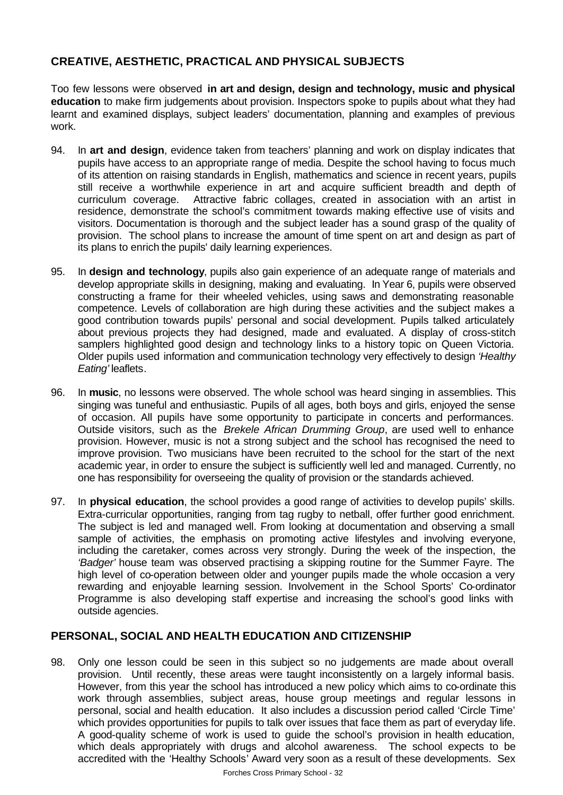## **CREATIVE, AESTHETIC, PRACTICAL AND PHYSICAL SUBJECTS**

Too few lessons were observed **in art and design, design and technology, music and physical education** to make firm judgements about provision. Inspectors spoke to pupils about what they had learnt and examined displays, subject leaders' documentation, planning and examples of previous work.

- 94. In **art and design**, evidence taken from teachers' planning and work on display indicates that pupils have access to an appropriate range of media. Despite the school having to focus much of its attention on raising standards in English, mathematics and science in recent years, pupils still receive a worthwhile experience in art and acquire sufficient breadth and depth of curriculum coverage. Attractive fabric collages, created in association with an artist in residence, demonstrate the school's commitment towards making effective use of visits and visitors. Documentation is thorough and the subject leader has a sound grasp of the quality of provision. The school plans to increase the amount of time spent on art and design as part of its plans to enrich the pupils' daily learning experiences.
- 95. In **design and technology**, pupils also gain experience of an adequate range of materials and develop appropriate skills in designing, making and evaluating. In Year 6, pupils were observed constructing a frame for their wheeled vehicles, using saws and demonstrating reasonable competence. Levels of collaboration are high during these activities and the subject makes a good contribution towards pupils' personal and social development. Pupils talked articulately about previous projects they had designed, made and evaluated. A display of cross-stitch samplers highlighted good design and technology links to a history topic on Queen Victoria. Older pupils used information and communication technology very effectively to design *'Healthy*  Eating' leaflets.
- 96. In **music**, no lessons were observed. The whole school was heard singing in assemblies. This singing was tuneful and enthusiastic. Pupils of all ages, both boys and girls, enjoyed the sense of occasion. All pupils have some opportunity to participate in concerts and performances. Outside visitors, such as the *Brekele African Drumming Group*, are used well to enhance provision. However, music is not a strong subject and the school has recognised the need to improve provision. Two musicians have been recruited to the school for the start of the next academic year, in order to ensure the subject is sufficiently well led and managed. Currently, no one has responsibility for overseeing the quality of provision or the standards achieved.
- 97. In **physical education**, the school provides a good range of activities to develop pupils' skills. Extra-curricular opportunities, ranging from tag rugby to netball, offer further good enrichment. The subject is led and managed well. From looking at documentation and observing a small sample of activities, the emphasis on promoting active lifestyles and involving everyone, including the caretaker, comes across very strongly. During the week of the inspection, the *'Badger'* house team was observed practising a skipping routine for the Summer Fayre. The high level of co-operation between older and younger pupils made the whole occasion a very rewarding and enjoyable learning session. Involvement in the School Sports' Co-ordinator Programme is also developing staff expertise and increasing the school's good links with outside agencies.

## **PERSONAL, SOCIAL AND HEALTH EDUCATION AND CITIZENSHIP**

98. Only one lesson could be seen in this subject so no judgements are made about overall provision. Until recently, these areas were taught inconsistently on a largely informal basis. However, from this year the school has introduced a new policy which aims to co-ordinate this work through assemblies, subject areas, house group meetings and regular lessons in personal, social and health education. It also includes a discussion period called 'Circle Time' which provides opportunities for pupils to talk over issues that face them as part of everyday life. A good-quality scheme of work is used to guide the school's provision in health education, which deals appropriately with drugs and alcohol awareness. The school expects to be accredited with the 'Healthy Schools' Award very soon as a result of these developments. Sex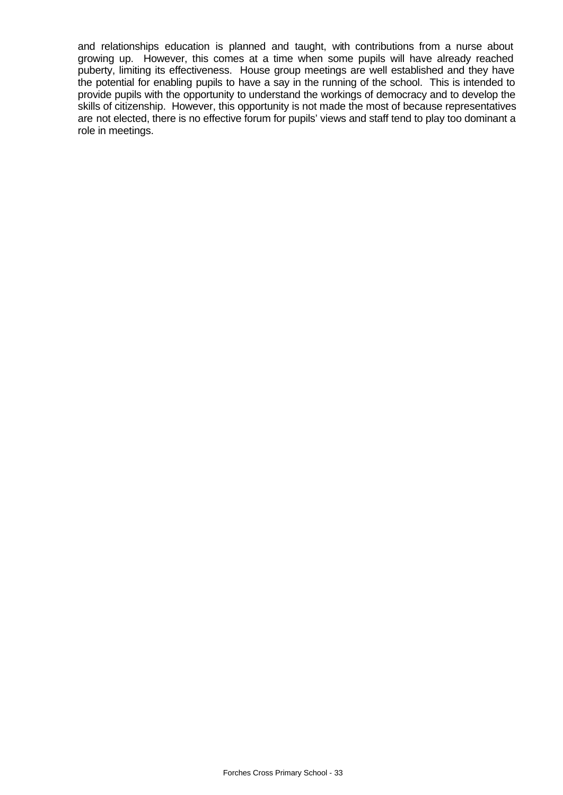and relationships education is planned and taught, with contributions from a nurse about growing up. However, this comes at a time when some pupils will have already reached puberty, limiting its effectiveness. House group meetings are well established and they have the potential for enabling pupils to have a say in the running of the school. This is intended to provide pupils with the opportunity to understand the workings of democracy and to develop the skills of citizenship. However, this opportunity is not made the most of because representatives are not elected, there is no effective forum for pupils' views and staff tend to play too dominant a role in meetings.